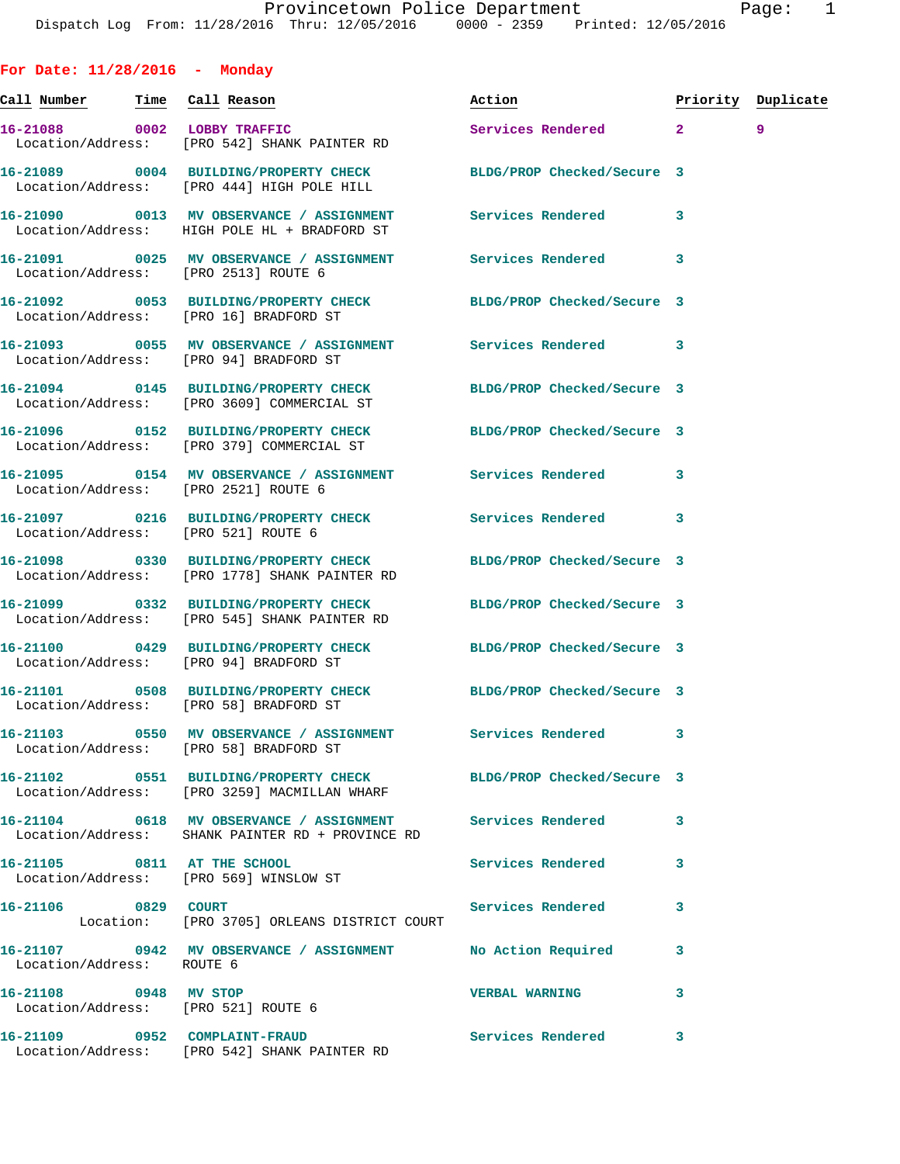Dispatch Log From: 11/28/2016 Thru: 12/05/2016 0000 - 2359 Printed: 12/05/2016 **For Date: 11/28/2016 - Monday Call Number Time Call Reason Action Priority Duplicate 16-21088 0002 LOBBY TRAFFIC Services Rendered 2 9**  Location/Address: [PRO 542] SHANK PAINTER RD **16-21089 0004 BUILDING/PROPERTY CHECK BLDG/PROP Checked/Secure 3**  Location/Address: [PRO 444] HIGH POLE HILL **16-21090 0013 MV OBSERVANCE / ASSIGNMENT Services Rendered 3**  Location/Address: HIGH POLE HL + BRADFORD ST **16-21091 0025 MV OBSERVANCE / ASSIGNMENT Services Rendered 3**  Location/Address: [PRO 2513] ROUTE 6 **16-21092 0053 BUILDING/PROPERTY CHECK BLDG/PROP Checked/Secure 3**  Location/Address: [PRO 16] BRADFORD ST **16-21093 0055 MV OBSERVANCE / ASSIGNMENT Services Rendered 3**  Location/Address: [PRO 94] BRADFORD ST **16-21094 0145 BUILDING/PROPERTY CHECK BLDG/PROP Checked/Secure 3**  Location/Address: [PRO 3609] COMMERCIAL ST **16-21096 0152 BUILDING/PROPERTY CHECK BLDG/PROP Checked/Secure 3**  Location/Address: [PRO 379] COMMERCIAL ST **16-21095 0154 MV OBSERVANCE / ASSIGNMENT Services Rendered 3**  Location/Address: [PRO 2521] ROUTE 6 **16-21097 0216 BUILDING/PROPERTY CHECK Services Rendered 3**  Location/Address: [PRO 521] ROUTE 6 **16-21098 0330 BUILDING/PROPERTY CHECK BLDG/PROP Checked/Secure 3**  Location/Address: [PRO 1778] SHANK PAINTER RD **16-21099 0332 BUILDING/PROPERTY CHECK BLDG/PROP Checked/Secure 3**  Location/Address: [PRO 545] SHANK PAINTER RD **16-21100 0429 BUILDING/PROPERTY CHECK BLDG/PROP Checked/Secure 3**  Location/Address: [PRO 94] BRADFORD ST **16-21101 0508 BUILDING/PROPERTY CHECK BLDG/PROP Checked/Secure 3**  Location/Address: [PRO 58] BRADFORD ST **16-21103 0550 MV OBSERVANCE / ASSIGNMENT Services Rendered 3**  Location/Address: [PRO 58] BRADFORD ST **16-21102 0551 BUILDING/PROPERTY CHECK BLDG/PROP Checked/Secure 3**  Location/Address: [PRO 3259] MACMILLAN WHARF **16-21104 0618 MV OBSERVANCE / ASSIGNMENT Services Rendered 3**  Location/Address: SHANK PAINTER RD + PROVINCE RD **16-21105 0811 AT THE SCHOOL Services Rendered 3**  Location/Address: [PRO 569] WINSLOW ST **16-21106 0829 COURT Services Rendered 3**  Location: [PRO 3705] ORLEANS DISTRICT COURT **16-21107 0942 MV OBSERVANCE / ASSIGNMENT No Action Required 3** 

 Location/Address: ROUTE 6 **16-21108 0948 MV STOP VERBAL WARNING 3**  Location/Address: [PRO 521] ROUTE 6 **16-21109 0952 COMPLAINT-FRAUD Services Rendered 3** 

Location/Address: [PRO 542] SHANK PAINTER RD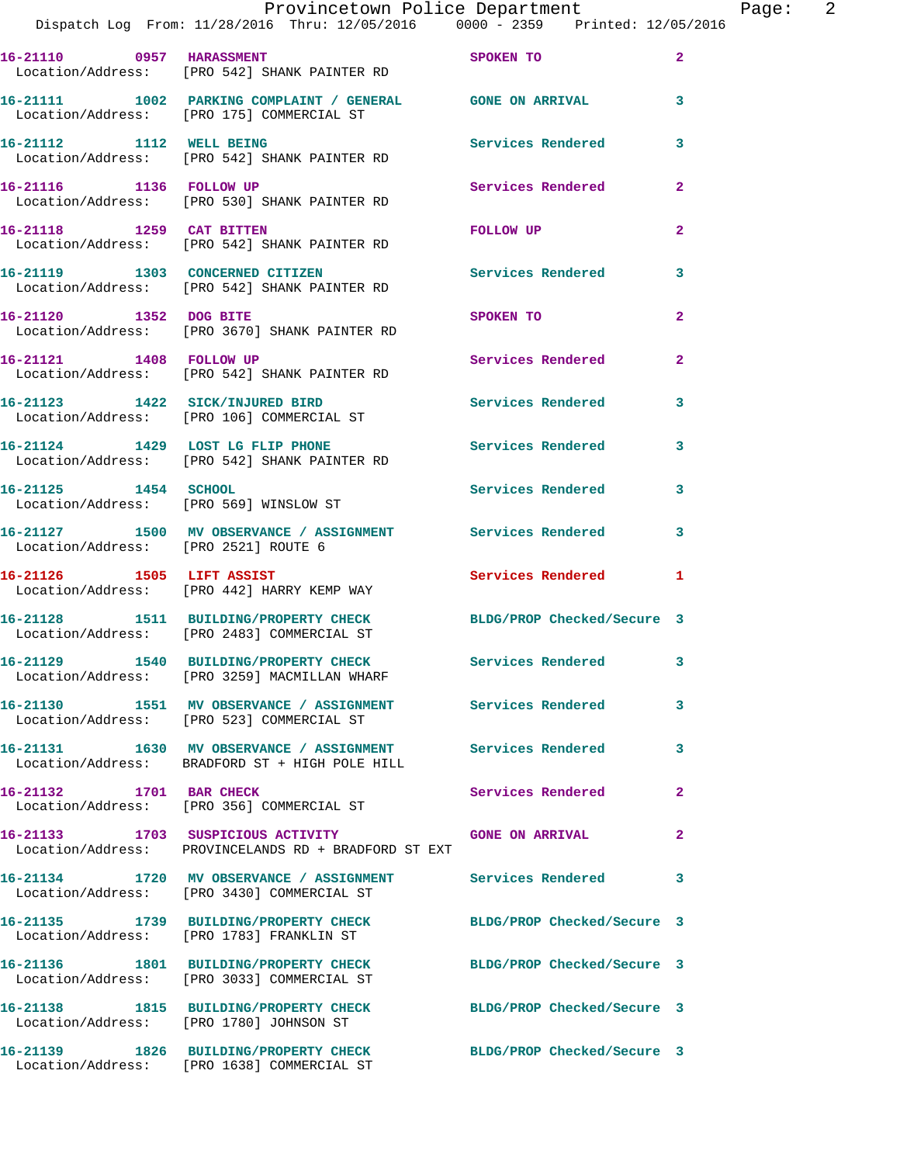|                                      | Provincetown Police Department<br>Dispatch Log From: 11/28/2016 Thru: 12/05/2016 0000 - 2359 Printed: 12/05/2016 |                             | Page: $2$      |
|--------------------------------------|------------------------------------------------------------------------------------------------------------------|-----------------------------|----------------|
|                                      | 16-21110 0957 HARASSMENT<br>Location/Address: [PRO 542] SHANK PAINTER RD                                         | SPOKEN TO AND THE SPOKEN TO | $\mathbf{2}$   |
|                                      | 16-21111 1002 PARKING COMPLAINT / GENERAL GONE ON ARRIVAL 3<br>Location/Address: [PRO 175] COMMERCIAL ST         |                             |                |
|                                      | 16-21112 1112 WELL BEING<br>Location/Address: [PRO 542] SHANK PAINTER RD                                         | Services Rendered           | 3              |
|                                      | 16-21116 1136 FOLLOW UP<br>Location/Address: [PRO 530] SHANK PAINTER RD                                          | Services Rendered           | $\mathbf{2}$   |
|                                      | 16-21118 1259 CAT BITTEN<br>Location/Address: [PRO 542] SHANK PAINTER RD                                         | FOLLOW UP                   | $\mathbf{2}$   |
|                                      | 16-21119 1303 CONCERNED CITIZEN Services Rendered<br>Location/Address: [PRO 542] SHANK PAINTER RD                |                             | 3              |
|                                      | 16-21120 1352 DOG BITE<br>Location/Address: [PRO 3670] SHANK PAINTER RD                                          | SPOKEN TO                   | $\mathbf{2}$   |
|                                      | 16-21121 1408 FOLLOW UP<br>Location/Address: [PRO 542] SHANK PAINTER RD                                          | Services Rendered           | $\mathbf{2}$   |
|                                      | 16-21123 1422 SICK/INJURED BIRD<br>Location/Address: [PRO 106] COMMERCIAL ST                                     | Services Rendered 3         |                |
|                                      | 16-21124 1429 LOST LG FLIP PHONE Services Rendered<br>Location/Address: [PRO 542] SHANK PAINTER RD               |                             | 3              |
| 16-21125 1454 SCHOOL                 | Location/Address: [PRO 569] WINSLOW ST                                                                           | Services Rendered 3         |                |
| Location/Address: [PRO 2521] ROUTE 6 | 16-21127 1500 MV OBSERVANCE / ASSIGNMENT Services Rendered                                                       |                             | 3              |
| 16-21126 1505 LIFT ASSIST            | Location/Address: [PRO 442] HARRY KEMP WAY                                                                       | Services Rendered 1         |                |
|                                      | 16-21128 1511 BUILDING/PROPERTY CHECK BLDG/PROP Checked/Secure 3<br>Location/Address: [PRO 2483] COMMERCIAL ST   |                             |                |
|                                      | 16-21129 1540 BUILDING/PROPERTY CHECK<br>Location/Address: [PRO 3259] MACMILLAN WHARF                            | <b>Services Rendered</b>    |                |
|                                      | 16-21130 1551 MV OBSERVANCE / ASSIGNMENT Services Rendered<br>Location/Address: [PRO 523] COMMERCIAL ST          |                             | 3              |
|                                      | 16-21131 1630 MV OBSERVANCE / ASSIGNMENT Services Rendered<br>Location/Address: BRADFORD ST + HIGH POLE HILL     |                             | 3              |
|                                      | 16-21132 1701 BAR CHECK<br>Location/Address: [PRO 356] COMMERCIAL ST                                             | Services Rendered           | $\overline{2}$ |
|                                      | 16-21133 1703 SUSPICIOUS ACTIVITY CONE ON ARRIVAL<br>Location/Address: PROVINCELANDS RD + BRADFORD ST EXT        |                             | $\mathbf{2}$   |
|                                      | 16-21134 1720 MV OBSERVANCE / ASSIGNMENT Services Rendered<br>Location/Address: [PRO 3430] COMMERCIAL ST         |                             | 3              |
|                                      | 16-21135 1739 BUILDING/PROPERTY CHECK BLDG/PROP Checked/Secure 3<br>Location/Address: [PRO 1783] FRANKLIN ST     |                             |                |
|                                      | 16-21136 1801 BUILDING/PROPERTY CHECK<br>Location/Address: [PRO 3033] COMMERCIAL ST                              | BLDG/PROP Checked/Secure 3  |                |
|                                      | 16-21138 1815 BUILDING/PROPERTY CHECK                                                                            | BLDG/PROP Checked/Secure 3  |                |

**16-21139 1826 BUILDING/PROPERTY CHECK BLDG/PROP Checked/Secure 3**  Location/Address: [PRO 1638] COMMERCIAL ST

Location/Address: [PRO 1780] JOHNSON ST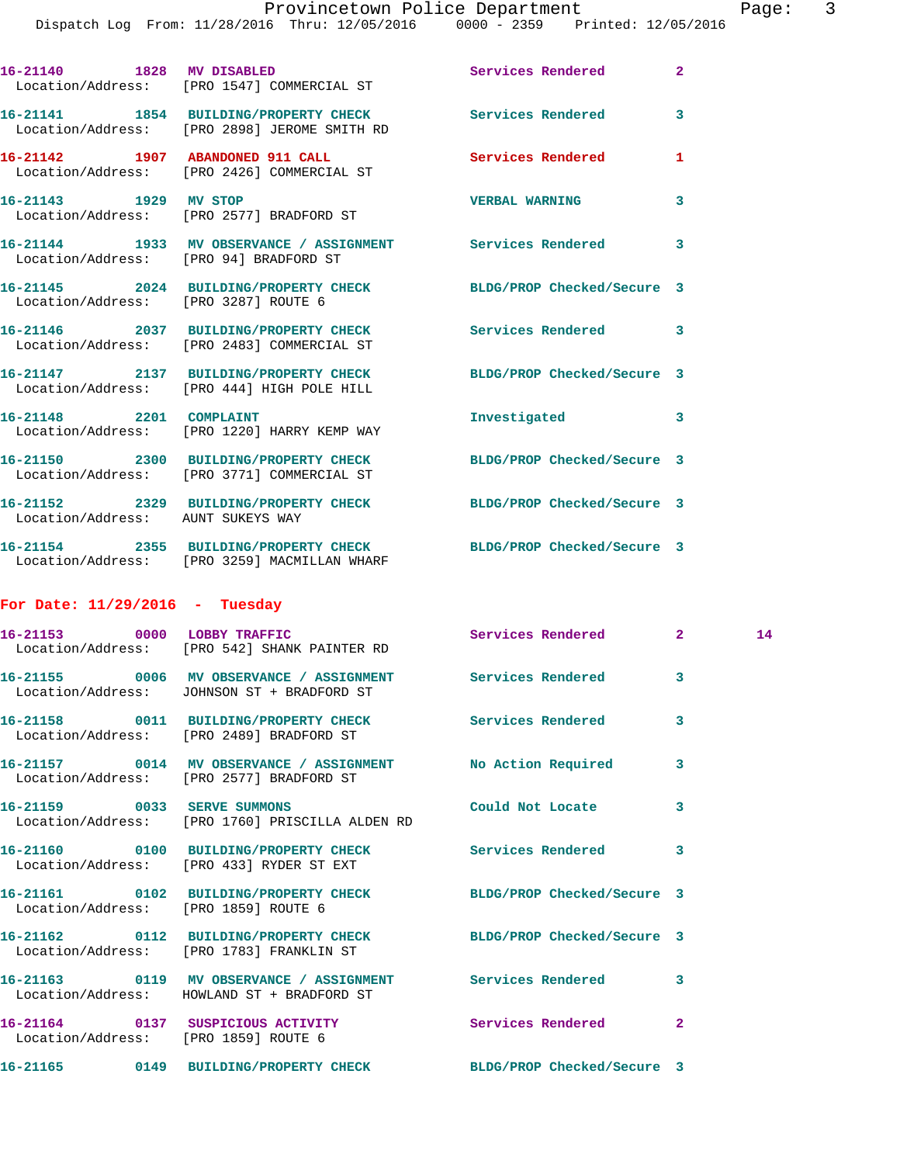|                                        | 16-21140 1828 MV DISABLED<br>Location/Address: [PRO 1547] COMMERCIAL ST                                               | Services Rendered          | $\overline{2}$ |    |
|----------------------------------------|-----------------------------------------------------------------------------------------------------------------------|----------------------------|----------------|----|
|                                        | 16-21141 1854 BUILDING/PROPERTY CHECK<br>Location/Address: [PRO 2898] JEROME SMITH RD                                 | Services Rendered          | 3              |    |
|                                        | 16-21142 1907 ABANDONED 911 CALL<br>Location/Address: [PRO 2426] COMMERCIAL ST                                        | Services Rendered          | 1              |    |
| 16-21143 1929 MV STOP                  | Location/Address: [PRO 2577] BRADFORD ST                                                                              | <b>VERBAL WARNING</b>      | 3              |    |
| Location/Address: [PRO 94] BRADFORD ST | 16-21144 1933 MV OBSERVANCE / ASSIGNMENT Services Rendered 3                                                          |                            |                |    |
| Location/Address: [PRO 3287] ROUTE 6   | 16-21145 2024 BUILDING/PROPERTY CHECK BLDG/PROP Checked/Secure 3                                                      |                            |                |    |
|                                        | 16-21146 2037 BUILDING/PROPERTY CHECK<br>Location/Address: [PRO 2483] COMMERCIAL ST                                   | Services Rendered 3        |                |    |
|                                        | 16-21147 2137 BUILDING/PROPERTY CHECK BLDG/PROP Checked/Secure 3<br>Location/Address: [PRO 444] HIGH POLE HILL        |                            |                |    |
|                                        | 16-21148 2201 COMPLAINT<br>Location/Address: [PRO 1220] HARRY KEMP WAY                                                | Investigated               | 3              |    |
|                                        | 16-21150 2300 BUILDING/PROPERTY CHECK<br>Location/Address: [PRO 3771] COMMERCIAL ST                                   | BLDG/PROP Checked/Secure 3 |                |    |
|                                        | 16-21152  2329  BUILDING/PROPERTY CHECK BLDG/PROP Checked/Secure 3<br>Location/Address: AUNT SUKEYS WAY               |                            |                |    |
|                                        | 16-21154 2355 BUILDING/PROPERTY CHECK BLDG/PROP Checked/Secure 3<br>Location/Address: [PRO 3259] MACMILLAN WHARF      |                            |                |    |
| For Date: $11/29/2016$ - Tuesday       |                                                                                                                       |                            |                |    |
|                                        | 16-21153 0000 LOBBY TRAFFIC<br>Location/Address: [PRO 542] SHANK PAINTER RD                                           | Services Rendered 2        |                | 14 |
|                                        | 16-21155 0006 MV OBSERVANCE / ASSIGNMENT Services Rendered 3<br>Location/Address: JOHNSON ST + BRADFORD ST            |                            |                |    |
|                                        | 16-21158 0011 BUILDING/PROPERTY CHECK<br>Location/Address: [PRO 2489] BRADFORD ST                                     | Services Rendered          | 3              |    |
|                                        | 16-21157 0014 MV OBSERVANCE / ASSIGNMENT No Action Required<br>Location/Address: [PRO 2577] BRADFORD ST               |                            | 3              |    |
| 16-21159 0033 SERVE SUMMONS            | Location/Address: [PRO 1760] PRISCILLA ALDEN RD                                                                       | Could Not Locate           | 3              |    |
|                                        | 16-21160 0100 BUILDING/PROPERTY CHECK<br>Location/Address: [PRO 433] RYDER ST EXT                                     | Services Rendered          | 3              |    |
| Location/Address: [PRO 1859] ROUTE 6   | 16-21161 0102 BUILDING/PROPERTY CHECK                                                                                 | BLDG/PROP Checked/Secure 3 |                |    |
|                                        | 16-21162 0112 BUILDING/PROPERTY CHECK<br>Location/Address: [PRO 1783] FRANKLIN ST                                     | BLDG/PROP Checked/Secure 3 |                |    |
|                                        | 16-21163      0119   MV OBSERVANCE / ASSIGNMENT       Services Rendered<br>Location/Address: HOWLAND ST + BRADFORD ST |                            | 3              |    |
| Location/Address: [PRO 1859] ROUTE 6   | 16-21164 0137 SUSPICIOUS ACTIVITY                                                                                     | Services Rendered          | $\mathbf{2}$   |    |

**16-21165 0149 BUILDING/PROPERTY CHECK BLDG/PROP Checked/Secure 3**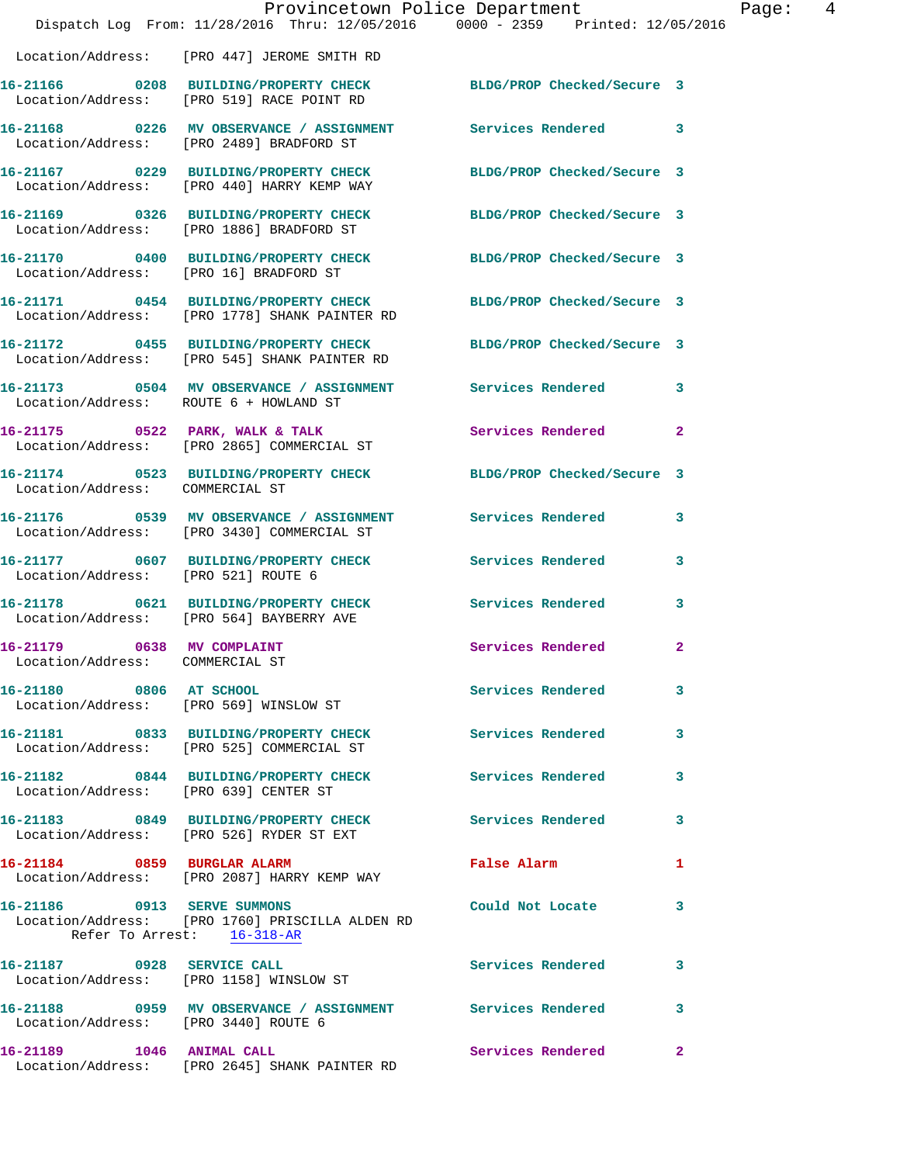|                                                               |                                                                                                                  | Provincetown Police Department<br>Dispatch Log From: 11/28/2016 Thru: 12/05/2016 0000 - 2359 Printed: 12/05/2016 | $\overline{4}$<br>Page: |
|---------------------------------------------------------------|------------------------------------------------------------------------------------------------------------------|------------------------------------------------------------------------------------------------------------------|-------------------------|
|                                                               | Location/Address: [PRO 447] JEROME SMITH RD                                                                      |                                                                                                                  |                         |
|                                                               | 16-21166 0208 BUILDING/PROPERTY CHECK BLDG/PROP Checked/Secure 3<br>Location/Address: [PRO 519] RACE POINT RD    |                                                                                                                  |                         |
|                                                               | 16-21168 0226 MV OBSERVANCE / ASSIGNMENT Services Rendered 3<br>Location/Address: [PRO 2489] BRADFORD ST         |                                                                                                                  |                         |
|                                                               | 16-21167 0229 BUILDING/PROPERTY CHECK BLDG/PROP Checked/Secure 3<br>Location/Address: [PRO 440] HARRY KEMP WAY   |                                                                                                                  |                         |
|                                                               | 16-21169 0326 BUILDING/PROPERTY CHECK<br>Location/Address: [PRO 1886] BRADFORD ST                                | BLDG/PROP Checked/Secure 3                                                                                       |                         |
| Location/Address: [PRO 16] BRADFORD ST                        | 16-21170 0400 BUILDING/PROPERTY CHECK BLDG/PROP Checked/Secure 3                                                 |                                                                                                                  |                         |
|                                                               | 16-21171 0454 BUILDING/PROPERTY CHECK<br>Location/Address: [PRO 1778] SHANK PAINTER RD                           | BLDG/PROP Checked/Secure 3                                                                                       |                         |
|                                                               | 16-21172 0455 BUILDING/PROPERTY CHECK BLDG/PROP Checked/Secure 3<br>Location/Address: [PRO 545] SHANK PAINTER RD |                                                                                                                  |                         |
| Location/Address: ROUTE 6 + HOWLAND ST                        | 16-21173 0504 MV OBSERVANCE / ASSIGNMENT Services Rendered 3                                                     |                                                                                                                  |                         |
|                                                               | 16-21175 0522 PARK, WALK & TALK<br>Location/Address: [PRO 2865] COMMERCIAL ST                                    | Services Rendered<br>$\overline{2}$                                                                              |                         |
| Location/Address: COMMERCIAL ST                               | 16-21174 0523 BUILDING/PROPERTY CHECK BLDG/PROP Checked/Secure 3                                                 |                                                                                                                  |                         |
|                                                               | 16-21176 0539 MV OBSERVANCE / ASSIGNMENT Services Rendered<br>Location/Address: [PRO 3430] COMMERCIAL ST         | 3                                                                                                                |                         |
| Location/Address: [PRO 521] ROUTE 6                           | 16-21177 0607 BUILDING/PROPERTY CHECK Services Rendered                                                          | $\overline{\mathbf{3}}$                                                                                          |                         |
|                                                               | 16-21178 0621 BUILDING/PROPERTY CHECK<br>Location/Address: [PRO 564] BAYBERRY AVE                                | Services Rendered<br>3                                                                                           |                         |
| 16-21179 0638 MV COMPLAINT<br>Location/Address: COMMERCIAL ST |                                                                                                                  | Services Rendered 2                                                                                              |                         |
|                                                               | 16-21180 0806 AT SCHOOL<br>Location/Address: [PRO 569] WINSLOW ST                                                | Services Rendered 3                                                                                              |                         |
|                                                               | 16-21181 0833 BUILDING/PROPERTY CHECK Services Rendered 3<br>Location/Address: [PRO 525] COMMERCIAL ST           |                                                                                                                  |                         |
|                                                               | 16-21182 0844 BUILDING/PROPERTY CHECK Services Rendered<br>Location/Address: [PRO 639] CENTER ST                 | 3                                                                                                                |                         |
|                                                               | 16-21183 0849 BUILDING/PROPERTY CHECK Services Rendered<br>Location/Address: [PRO 526] RYDER ST EXT              | $\mathbf{3}$                                                                                                     |                         |
|                                                               | 16-21184 0859 BURGLAR ALARM<br>Location/Address: [PRO 2087] HARRY KEMP WAY                                       | <b>False Alarm</b><br>1                                                                                          |                         |
| 16-21186 0913 SERVE SUMMONS                                   | Location/Address: [PRO 1760] PRISCILLA ALDEN RD<br>Refer To Arrest: $16-318-AR$                                  | Could Not Locate 3                                                                                               |                         |
|                                                               | 16-21187 0928 SERVICE CALL<br>Location/Address: [PRO 1158] WINSLOW ST                                            | Services Rendered<br>3                                                                                           |                         |
| Location/Address: [PRO 3440] ROUTE 6                          | 16-21188 0959 MV OBSERVANCE / ASSIGNMENT Services Rendered 3                                                     |                                                                                                                  |                         |
|                                                               | 16-21189    1046    ANIMAL CALL<br>Location/Address: [PRO 2645] SHANK PAINTER RD                                 | Services Rendered 2                                                                                              |                         |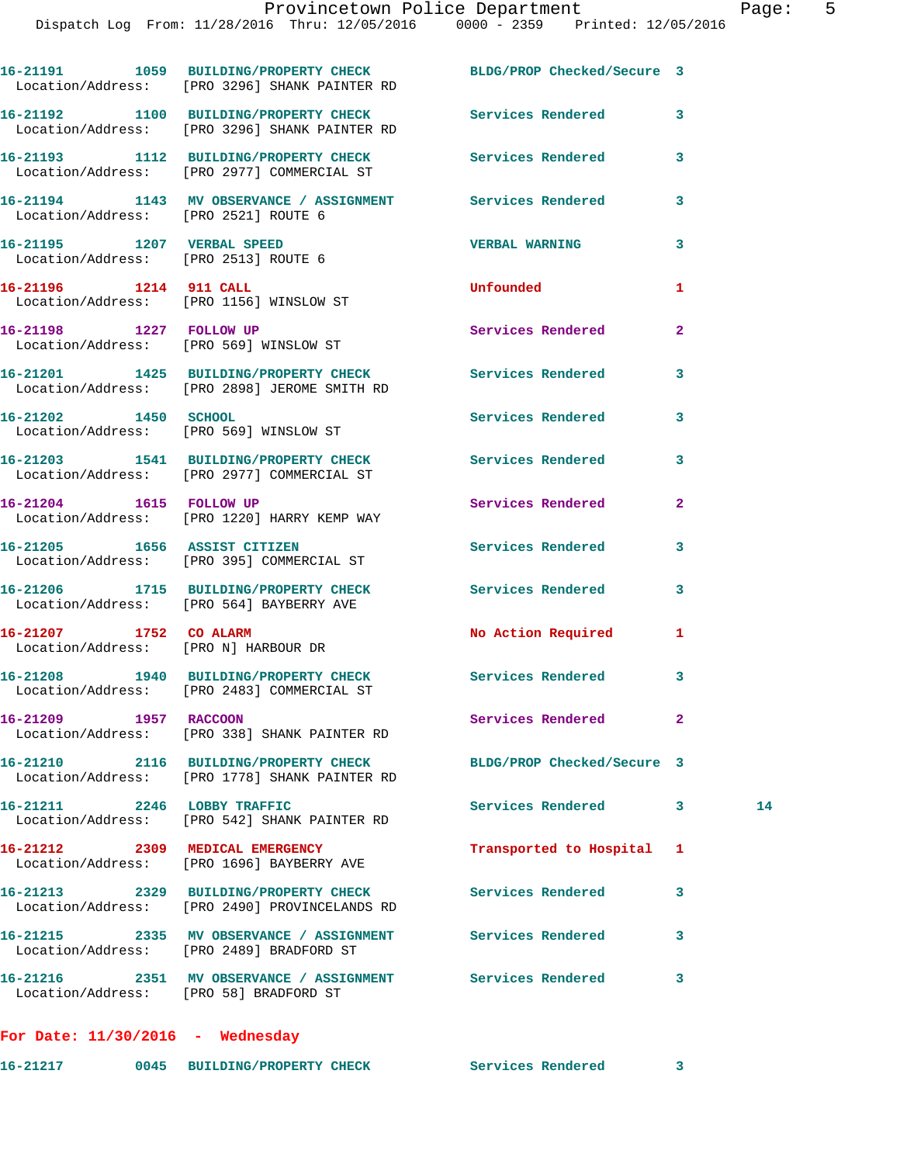|                                                                    | 16-21191 1059 BUILDING/PROPERTY CHECK BLDG/PROP Checked/Secure 3<br>Location/Address: [PRO 3296] SHANK PAINTER RD |                            |                |    |
|--------------------------------------------------------------------|-------------------------------------------------------------------------------------------------------------------|----------------------------|----------------|----|
|                                                                    | 16-21192 1100 BUILDING/PROPERTY CHECK Services Rendered<br>Location/Address: [PRO 3296] SHANK PAINTER RD          |                            | 3              |    |
|                                                                    | 16-21193 1112 BUILDING/PROPERTY CHECK<br>Location/Address: [PRO 2977] COMMERCIAL ST                               | Services Rendered          | 3              |    |
| Location/Address: [PRO 2521] ROUTE 6                               | 16-21194 1143 MV OBSERVANCE / ASSIGNMENT Services Rendered                                                        |                            | 3              |    |
| 16-21195 1207 VERBAL SPEED<br>Location/Address: [PRO 2513] ROUTE 6 |                                                                                                                   | <b>VERBAL WARNING</b>      | 3              |    |
| 16-21196 1214 911 CALL                                             | Location/Address: [PRO 1156] WINSLOW ST                                                                           | Unfounded                  | 1              |    |
| 16-21198 1227 FOLLOW UP                                            | Location/Address: [PRO 569] WINSLOW ST                                                                            | Services Rendered          | $\overline{a}$ |    |
|                                                                    | 16-21201 1425 BUILDING/PROPERTY CHECK<br>Location/Address: [PRO 2898] JEROME SMITH RD                             | Services Rendered          | 3              |    |
| 16-21202 1450 SCHOOL                                               | Location/Address: [PRO 569] WINSLOW ST                                                                            | Services Rendered          | 3              |    |
|                                                                    | 16-21203 1541 BUILDING/PROPERTY CHECK Services Rendered<br>Location/Address: [PRO 2977] COMMERCIAL ST             |                            | 3              |    |
| 16-21204 1615 FOLLOW UP                                            | Location/Address: [PRO 1220] HARRY KEMP WAY                                                                       | Services Rendered          | $\mathbf{2}$   |    |
|                                                                    | 16-21205 1656 ASSIST CITIZEN<br>Location/Address: [PRO 395] COMMERCIAL ST                                         | Services Rendered          | 3              |    |
|                                                                    | 16-21206 1715 BUILDING/PROPERTY CHECK Services Rendered<br>Location/Address: [PRO 564] BAYBERRY AVE               |                            | 3              |    |
| 16-21207 1752 CO ALARM<br>Location/Address: [PRO N] HARBOUR DR     |                                                                                                                   | No Action Required         | 1              |    |
|                                                                    | 16-21208 1940 BUILDING/PROPERTY CHECK<br>Location/Address: [PRO 2483] COMMERCIAL ST                               | Services Rendered          | 3              |    |
| 16-21209 1957 RACCOON                                              | Location/Address: [PRO 338] SHANK PAINTER RD                                                                      | Services Rendered          | $\mathbf{2}$   |    |
|                                                                    | 16-21210 2116 BUILDING/PROPERTY CHECK<br>Location/Address: [PRO 1778] SHANK PAINTER RD                            | BLDG/PROP Checked/Secure 3 |                |    |
| 16-21211 2246 LOBBY TRAFFIC                                        | Location/Address: [PRO 542] SHANK PAINTER RD                                                                      | Services Rendered          | 3              | 14 |
| 16-21212 2309 MEDICAL EMERGENCY                                    | Location/Address: [PRO 1696] BAYBERRY AVE                                                                         | Transported to Hospital    | 1              |    |
|                                                                    | 16-21213 2329 BUILDING/PROPERTY CHECK<br>Location/Address: [PRO 2490] PROVINCELANDS RD                            | <b>Services Rendered</b>   | 3              |    |
|                                                                    | 16-21215 2335 MV OBSERVANCE / ASSIGNMENT Services Rendered<br>Location/Address: [PRO 2489] BRADFORD ST            |                            | 3              |    |
| Location/Address: [PRO 58] BRADFORD ST                             | 16-21216 2351 MV OBSERVANCE / ASSIGNMENT Services Rendered                                                        |                            | 3              |    |
| For Date: $11/30/2016$ - Wednesday                                 |                                                                                                                   |                            |                |    |

**16-21217 0045 BUILDING/PROPERTY CHECK Services Rendered 3**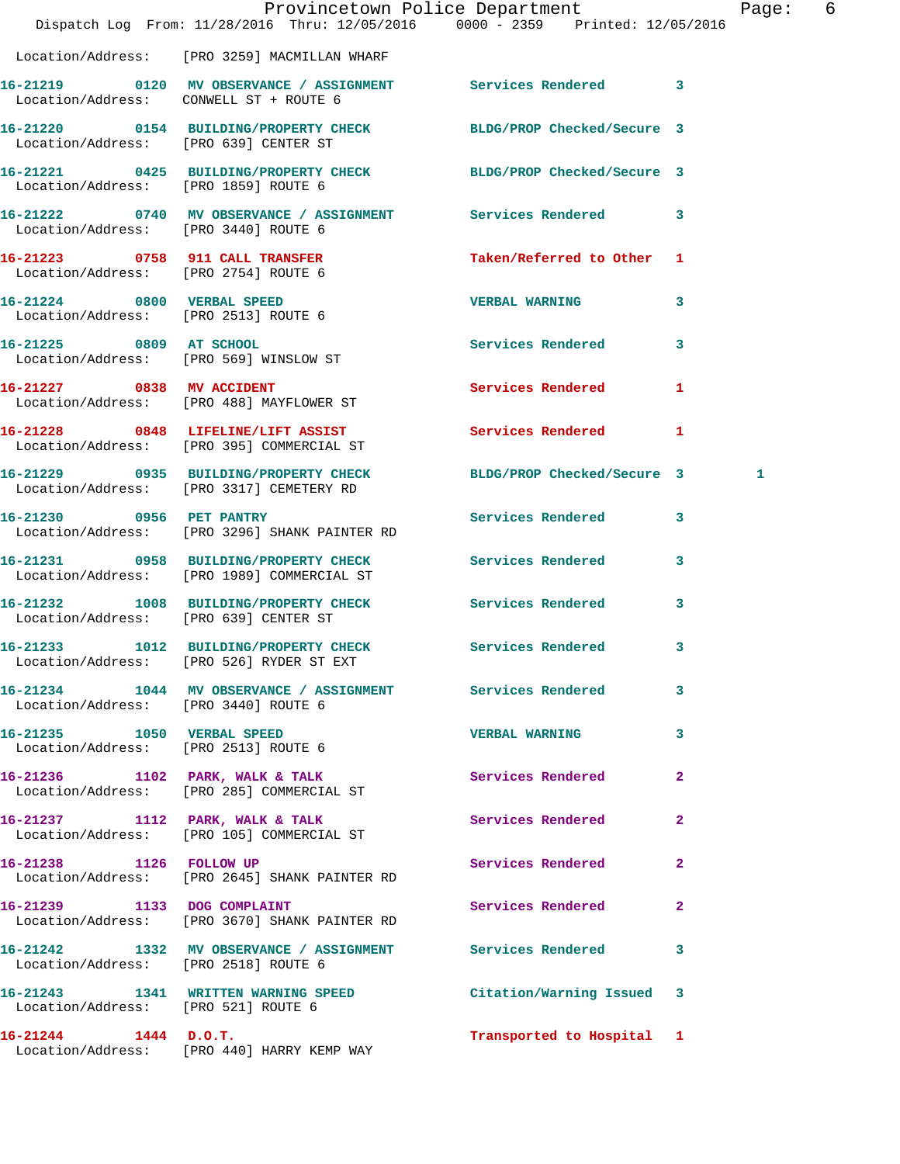|                                                                    |                                                                                                              | Provincetown Police Department           | 6<br>Page: |
|--------------------------------------------------------------------|--------------------------------------------------------------------------------------------------------------|------------------------------------------|------------|
|                                                                    | Dispatch Log From: 11/28/2016 Thru: 12/05/2016 0000 - 2359 Printed: 12/05/2016                               |                                          |            |
|                                                                    | Location/Address: [PRO 3259] MACMILLAN WHARF                                                                 |                                          |            |
| Location/Address: CONWELL ST + ROUTE 6                             | 16-21219 0120 MV OBSERVANCE / ASSIGNMENT Services Rendered 3                                                 |                                          |            |
| Location/Address: [PRO 639] CENTER ST                              | 16-21220 0154 BUILDING/PROPERTY CHECK BLDG/PROP Checked/Secure 3                                             |                                          |            |
| Location/Address: [PRO 1859] ROUTE 6                               | 16-21221 0425 BUILDING/PROPERTY CHECK BLDG/PROP Checked/Secure 3                                             |                                          |            |
| Location/Address: [PRO 3440] ROUTE 6                               | 16-21222 0740 MV OBSERVANCE / ASSIGNMENT Services Rendered 3                                                 |                                          |            |
| Location/Address: [PRO 2754] ROUTE 6                               | 16-21223 0758 911 CALL TRANSFER                                                                              | Taken/Referred to Other 1                |            |
| 16-21224 0800 VERBAL SPEED<br>Location/Address: [PRO 2513] ROUTE 6 |                                                                                                              | <b>VERBAL WARNING</b><br>3               |            |
| 16-21225 0809 AT SCHOOL                                            | Location/Address: [PRO 569] WINSLOW ST                                                                       | Services Rendered<br>3                   |            |
|                                                                    | 16-21227 0838 MV ACCIDENT<br>Location/Address: [PRO 488] MAYFLOWER ST                                        | Services Rendered 1                      |            |
|                                                                    | 16-21228 0848 LIFELINE/LIFT ASSIST<br>Location/Address: [PRO 395] COMMERCIAL ST                              | <b>Services Rendered</b><br>$\mathbf{1}$ |            |
|                                                                    | 16-21229 0935 BUILDING/PROPERTY CHECK BLDG/PROP Checked/Secure 3<br>Location/Address: [PRO 3317] CEMETERY RD |                                          | 1          |
|                                                                    | 16-21230 0956 PET PANTRY<br>Location/Address: [PRO 3296] SHANK PAINTER RD                                    | Services Rendered 3                      |            |
|                                                                    | 16-21231 0958 BUILDING/PROPERTY CHECK Services Rendered 3<br>Location/Address: [PRO 1989] COMMERCIAL ST      |                                          |            |
| Location/Address: [PRO 639] CENTER ST                              | 16-21232 1008 BUILDING/PROPERTY CHECK Services Rendered                                                      | 3                                        |            |
|                                                                    | 16-21233 1012 BUILDING/PROPERTY CHECK Services Rendered 3<br>Location/Address: [PRO 526] RYDER ST EXT        |                                          |            |
| Location/Address: [PRO 3440] ROUTE 6                               | 16-21234 1044 MV OBSERVANCE / ASSIGNMENT Services Rendered                                                   | 3                                        |            |
| 16-21235    1050    VERBAL SPEED                                   | Location/Address: [PRO 2513] ROUTE 6                                                                         | <b>VERBAL WARNING</b><br>3               |            |
|                                                                    | 16-21236 1102 PARK, WALK & TALK<br>Location/Address: [PRO 285] COMMERCIAL ST                                 | Services Rendered<br>$\mathbf{2}$        |            |
|                                                                    | 16-21237 1112 PARK, WALK & TALK<br>Location/Address: [PRO 105] COMMERCIAL ST                                 | Services Rendered<br>2                   |            |
|                                                                    | 16-21238 1126 FOLLOW UP<br>Location/Address: [PRO 2645] SHANK PAINTER RD                                     | Services Rendered<br>$\mathbf{2}$        |            |
| 16-21239 1133 DOG COMPLAINT                                        | Location/Address: [PRO 3670] SHANK PAINTER RD                                                                | <b>Services Rendered</b><br>$\mathbf{2}$ |            |
| Location/Address: [PRO 2518] ROUTE 6                               | 16-21242 1332 MV OBSERVANCE / ASSIGNMENT Services Rendered                                                   | 3                                        |            |
| Location/Address: [PRO 521] ROUTE 6                                | 16-21243 1341 WRITTEN WARNING SPEED Citation/Warning Issued 3                                                |                                          |            |
|                                                                    | 16-21244 1444 D.O.T.<br>Location/Address: [PRO 440] HARRY KEMP WAY                                           | Transported to Hospital 1                |            |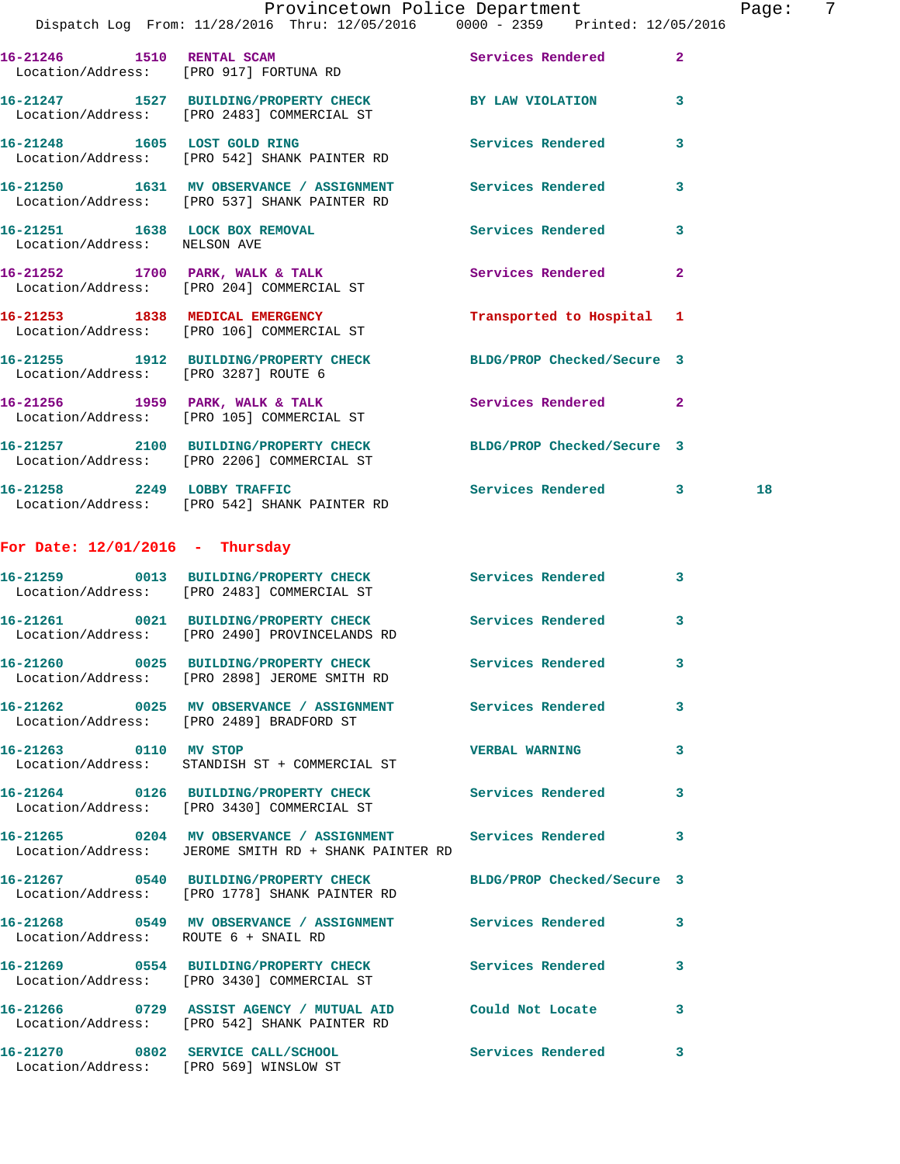|                                      | Provincetown Police Department<br>Dispatch Log From: 11/28/2016 Thru: 12/05/2016 0000 - 2359 Printed: 12/05/2016   |                            |                | Page: | -7 |
|--------------------------------------|--------------------------------------------------------------------------------------------------------------------|----------------------------|----------------|-------|----|
|                                      | 16-21246 1510 RENTAL SCAM<br>Location/Address: [PRO 917] FORTUNA RD                                                | Services Rendered          | $\overline{2}$ |       |    |
|                                      | 16-21247 1527 BUILDING/PROPERTY CHECK BY LAW VIOLATION<br>Location/Address: [PRO 2483] COMMERCIAL ST               |                            | 3              |       |    |
|                                      | 16-21248 1605 LOST GOLD RING<br>Location/Address: [PRO 542] SHANK PAINTER RD                                       | Services Rendered 3        |                |       |    |
|                                      | 16-21250 1631 MV OBSERVANCE / ASSIGNMENT Services Rendered<br>Location/Address: [PRO 537] SHANK PAINTER RD         |                            | $\mathbf{3}$   |       |    |
| Location/Address: NELSON AVE         | 16-21251 1638 LOCK BOX REMOVAL Services Rendered                                                                   |                            | 3              |       |    |
|                                      | 16-21252 1700 PARK, WALK & TALK<br>Location/Address: [PRO 204] COMMERCIAL ST                                       | Services Rendered          | $\overline{a}$ |       |    |
|                                      | 16-21253 1838 MEDICAL EMERGENCY<br>Location/Address: [PRO 106] COMMERCIAL ST                                       | Transported to Hospital 1  |                |       |    |
|                                      | 16-21255 1912 BUILDING/PROPERTY CHECK BLDG/PROP Checked/Secure 3<br>Location/Address: [PRO 3287] ROUTE 6           |                            |                |       |    |
|                                      | 16-21256 1959 PARK, WALK & TALK 2 Services Rendered 2<br>Location/Address: [PRO 105] COMMERCIAL ST                 |                            |                |       |    |
|                                      | 16-21257 2100 BUILDING/PROPERTY CHECK BLDG/PROP Checked/Secure 3<br>Location/Address: [PRO 2206] COMMERCIAL ST     |                            |                |       |    |
|                                      | 16-21258 2249 LOBBY TRAFFIC<br>Location/Address: [PRO 542] SHANK PAINTER RD                                        | Services Rendered 3        |                | 18    |    |
| For Date: $12/01/2016$ - Thursday    |                                                                                                                    |                            |                |       |    |
|                                      | 16-21259 0013 BUILDING/PROPERTY CHECK Services Rendered 3<br>Location/Address: [PRO 2483] COMMERCIAL ST            |                            |                |       |    |
|                                      | 16-21261 0021 BUILDING/PROPERTY CHECK Services Rendered 3<br>Location/Address: [PRO 2490] PROVINCELANDS RD         |                            |                |       |    |
|                                      | 16-21260 0025 BUILDING/PROPERTY CHECK<br>Location/Address: [PRO 2898] JEROME SMITH RD                              | Services Rendered          | 3              |       |    |
|                                      | 16-21262 0025 MV OBSERVANCE / ASSIGNMENT Services Rendered<br>Location/Address: [PRO 2489] BRADFORD ST             |                            | 3              |       |    |
| 16-21263 0110 MV STOP                | Location/Address: STANDISH ST + COMMERCIAL ST                                                                      | <b>VERBAL WARNING</b>      | 3              |       |    |
|                                      | 16-21264 0126 BUILDING/PROPERTY CHECK<br>Location/Address: [PRO 3430] COMMERCIAL ST                                | <b>Services Rendered</b>   | 3              |       |    |
|                                      | 16-21265 0204 MV OBSERVANCE / ASSIGNMENT Services Rendered<br>Location/Address: JEROME SMITH RD + SHANK PAINTER RD |                            | 3              |       |    |
|                                      | 16-21267 0540 BUILDING/PROPERTY CHECK<br>Location/Address: [PRO 1778] SHANK PAINTER RD                             | BLDG/PROP Checked/Secure 3 |                |       |    |
| Location/Address: ROUTE 6 + SNAIL RD | 16-21268 0549 MV OBSERVANCE / ASSIGNMENT Services Rendered                                                         |                            | 3              |       |    |
|                                      | 16-21269 0554 BUILDING/PROPERTY CHECK Services Rendered<br>Location/Address: [PRO 3430] COMMERCIAL ST              |                            | 3              |       |    |
|                                      | 16-21266 0729 ASSIST AGENCY / MUTUAL AID Could Not Locate<br>Location/Address: [PRO 542] SHANK PAINTER RD          |                            | 3              |       |    |

**16-21270 0802 SERVICE CALL/SCHOOL Services Rendered 3**  Location/Address: [PRO 569] WINSLOW ST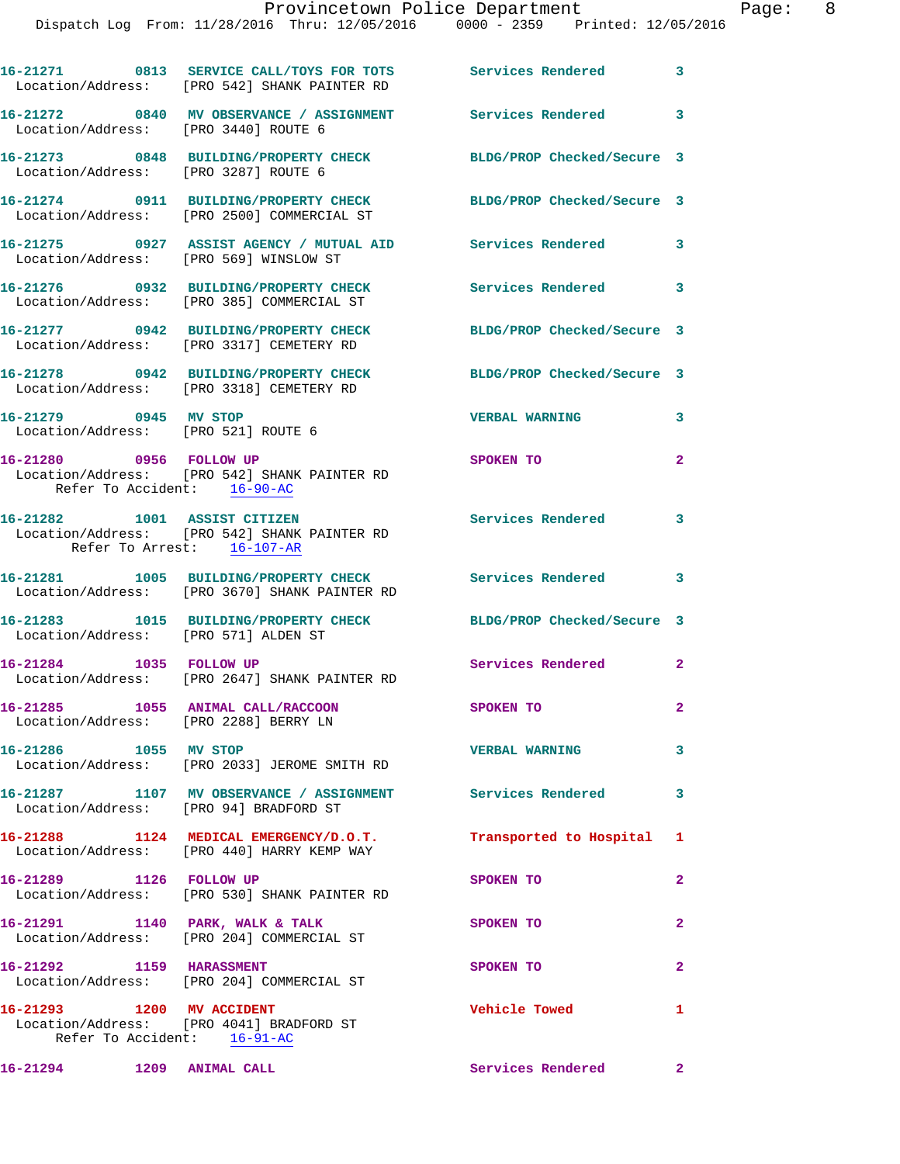|                                                                            | 16-21271 0813 SERVICE CALL/TOYS FOR TOTS Services Rendered 3<br>Location/Address: [PRO 542] SHANK PAINTER RD |                            |                |
|----------------------------------------------------------------------------|--------------------------------------------------------------------------------------------------------------|----------------------------|----------------|
| Location/Address: [PRO 3440] ROUTE 6                                       | 16-21272 0840 MV OBSERVANCE / ASSIGNMENT Services Rendered 3                                                 |                            |                |
| Location/Address: [PRO 3287] ROUTE 6                                       | 16-21273 0848 BUILDING/PROPERTY CHECK BLDG/PROP Checked/Secure 3                                             |                            |                |
|                                                                            | 16-21274 0911 BUILDING/PROPERTY CHECK<br>Location/Address: [PRO 2500] COMMERCIAL ST                          | BLDG/PROP Checked/Secure 3 |                |
| Location/Address: [PRO 569] WINSLOW ST                                     | 16-21275 0927 ASSIST AGENCY / MUTUAL AID Services Rendered 3                                                 |                            |                |
|                                                                            | 16-21276     0932   BUILDING/PROPERTY CHECK<br>  Location/Address:   [PRO 385] COMMERCIAL ST                 | Services Rendered 3        |                |
|                                                                            | 16-21277 0942 BUILDING/PROPERTY CHECK<br>Location/Address: [PRO 3317] CEMETERY RD                            | BLDG/PROP Checked/Secure 3 |                |
|                                                                            | 16-21278 0942 BUILDING/PROPERTY CHECK<br>Location/Address: [PRO 3318] CEMETERY RD                            | BLDG/PROP Checked/Secure 3 |                |
| 16-21279 0945 MV STOP<br>Location/Address: [PRO 521] ROUTE 6               |                                                                                                              | <b>VERBAL WARNING</b>      | 3              |
| 16-21280 0956 FOLLOW UP<br>Refer To Accident: 16-90-AC                     | Location/Address: [PRO 542] SHANK PAINTER RD                                                                 | SPOKEN TO                  | $\overline{2}$ |
| 16-21282 1001 ASSIST CITIZEN<br>Refer To Arrest: 16-107-AR                 | Location/Address: [PRO 542] SHANK PAINTER RD                                                                 | <b>Services Rendered</b> 3 |                |
|                                                                            | 16-21281 1005 BUILDING/PROPERTY CHECK<br>Location/Address: [PRO 3670] SHANK PAINTER RD                       | Services Rendered 3        |                |
| Location/Address: [PRO 571] ALDEN ST                                       | 16-21283 1015 BUILDING/PROPERTY CHECK BLDG/PROP Checked/Secure 3                                             |                            |                |
| 16-21284 1035 FOLLOW UP                                                    | Location/Address: [PRO 2647] SHANK PAINTER RD                                                                | Services Rendered 2        |                |
| 16-21285 1055 ANIMAL CALL/RACCOON<br>Location/Address: [PRO 2288] BERRY LN |                                                                                                              | SPOKEN TO                  | $\mathbf{2}$   |
| 16-21286 1055 MV STOP                                                      | Location/Address: [PRO 2033] JEROME SMITH RD                                                                 | <b>VERBAL WARNING</b>      | $\mathbf{3}$   |
| Location/Address: [PRO 94] BRADFORD ST                                     | 16-21287 1107 MV OBSERVANCE / ASSIGNMENT Services Rendered                                                   |                            | $\mathbf{3}$   |
|                                                                            | 16-21288 1124 MEDICAL EMERGENCY/D.O.T.<br>Location/Address: [PRO 440] HARRY KEMP WAY                         | Transported to Hospital 1  |                |
| 16-21289 1126 FOLLOW UP                                                    | Location/Address: [PRO 530] SHANK PAINTER RD                                                                 | SPOKEN TO                  | $\mathbf{2}$   |
| 16-21291 1140 PARK, WALK & TALK                                            | Location/Address: [PRO 204] COMMERCIAL ST                                                                    | SPOKEN TO                  | $\overline{2}$ |
|                                                                            | 16-21292 1159 HARASSMENT<br>Location/Address: [PRO 204] COMMERCIAL ST                                        | SPOKEN TO                  | $\mathbf{2}$   |
| 16-21293 1200 MV ACCIDENT<br>Refer To Accident: 16-91-AC                   | Location/Address: [PRO 4041] BRADFORD ST                                                                     | Vehicle Towed              | 1              |
| 16-21294 1209 ANIMAL CALL                                                  |                                                                                                              | Services Rendered 2        |                |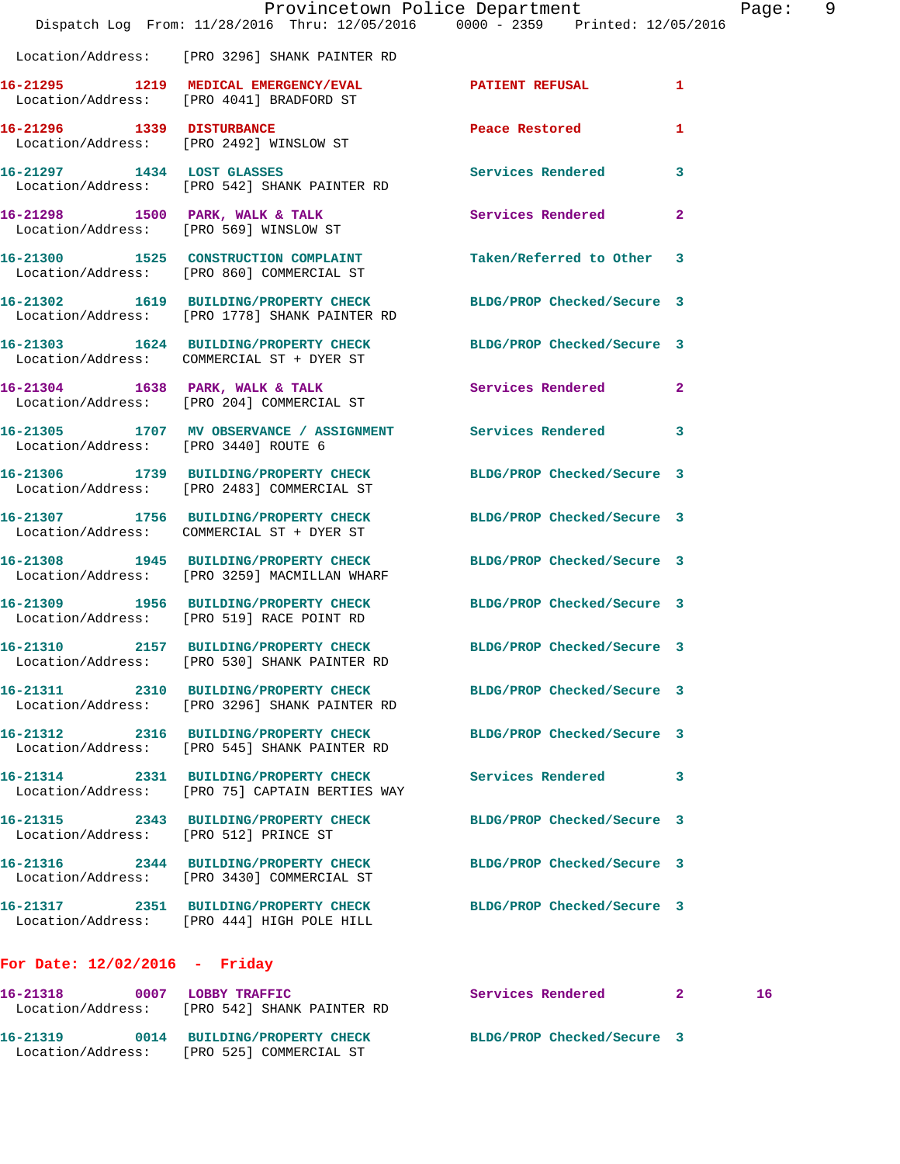|                                       | Dispatch Log From: 11/28/2016 Thru: 12/05/2016 0000 - 2359 Printed: 12/05/2016                                    | Provincetown Police Department        |              | 9<br>Page: |
|---------------------------------------|-------------------------------------------------------------------------------------------------------------------|---------------------------------------|--------------|------------|
|                                       | Location/Address: [PRO 3296] SHANK PAINTER RD                                                                     |                                       |              |            |
|                                       | 16-21295 1219 MEDICAL EMERGENCY/EVAL 20 PATIENT REFUSAL 1<br>Location/Address: [PRO 4041] BRADFORD ST             |                                       |              |            |
|                                       | 16-21296 1339 DISTURBANCE<br>Location/Address: [PRO 2492] WINSLOW ST                                              | Peace Restored and the Peace Restored | 1            |            |
|                                       | 16-21297 1434 LOST GLASSES<br>Location/Address: [PRO 542] SHANK PAINTER RD                                        | <b>Services Rendered</b>              | 3            |            |
|                                       | 16-21298 1500 PARK, WALK & TALK Services Rendered<br>Location/Address: [PRO 569] WINSLOW ST                       |                                       | $\mathbf{2}$ |            |
|                                       | 16-21300 1525 CONSTRUCTION COMPLAINT<br>Location/Address: [PRO 860] COMMERCIAL ST                                 | Taken/Referred to Other 3             |              |            |
|                                       | 16-21302 1619 BUILDING/PROPERTY CHECK<br>Location/Address: [PRO 1778] SHANK PAINTER RD                            | BLDG/PROP Checked/Secure 3            |              |            |
|                                       | 16-21303 1624 BUILDING/PROPERTY CHECK<br>Location/Address: COMMERCIAL ST + DYER ST                                | BLDG/PROP Checked/Secure 3            |              |            |
|                                       | 16-21304 1638 PARK, WALK & TALK<br>Location/Address: [PRO 204] COMMERCIAL ST                                      | Services Rendered                     | $\mathbf{2}$ |            |
| Location/Address: [PRO 3440] ROUTE 6  | 16-21305 1707 MV OBSERVANCE / ASSIGNMENT Services Rendered                                                        |                                       | 3            |            |
|                                       | 16-21306 1739 BUILDING/PROPERTY CHECK<br>Location/Address: [PRO 2483] COMMERCIAL ST                               | BLDG/PROP Checked/Secure 3            |              |            |
|                                       | 16-21307 1756 BUILDING/PROPERTY CHECK<br>Location/Address: COMMERCIAL ST + DYER ST                                | BLDG/PROP Checked/Secure 3            |              |            |
|                                       | 16-21308 1945 BUILDING/PROPERTY CHECK<br>Location/Address: [PRO 3259] MACMILLAN WHARF                             | BLDG/PROP Checked/Secure 3            |              |            |
|                                       | 16-21309 1956 BUILDING/PROPERTY CHECK BLDG/PROP Checked/Secure 3<br>Location/Address: [PRO 519] RACE POINT RD     |                                       |              |            |
|                                       | 16-21310 2157 BUILDING/PROPERTY CHECK BLDG/PROP Checked/Secure 3<br>Location/Address: [PRO 530] SHANK PAINTER RD  |                                       |              |            |
|                                       | 16-21311 2310 BUILDING/PROPERTY CHECK BLDG/PROP Checked/Secure 3<br>Location/Address: [PRO 3296] SHANK PAINTER RD |                                       |              |            |
|                                       | 16-21312 2316 BUILDING/PROPERTY CHECK<br>Location/Address: [PRO 545] SHANK PAINTER RD                             | BLDG/PROP Checked/Secure 3            |              |            |
|                                       | 16-21314 2331 BUILDING/PROPERTY CHECK Services Rendered<br>Location/Address: [PRO 75] CAPTAIN BERTIES WAY         |                                       | 3            |            |
| Location/Address: [PRO 512] PRINCE ST | 16-21315 2343 BUILDING/PROPERTY CHECK BLDG/PROP Checked/Secure 3                                                  |                                       |              |            |
|                                       | 16-21316 2344 BUILDING/PROPERTY CHECK BLDG/PROP Checked/Secure 3<br>Location/Address: [PRO 3430] COMMERCIAL ST    |                                       |              |            |
|                                       | 16-21317 2351 BUILDING/PROPERTY CHECK BLDG/PROP Checked/Secure 3<br>Location/Address: [PRO 444] HIGH POLE HILL    |                                       |              |            |
| For Date: $12/02/2016$ - Friday       |                                                                                                                   |                                       |              |            |
|                                       | 16-21318 0007 LOBBY TRAFFIC<br>Location/Address: [PRO 542] SHANK PAINTER RD                                       | Services Rendered 2                   |              | 16         |
|                                       | 16-21319 0014 BUILDING/PROPERTY CHECK BLDG/PROP Checked/Secure 3                                                  |                                       |              |            |

Location/Address: [PRO 525] COMMERCIAL ST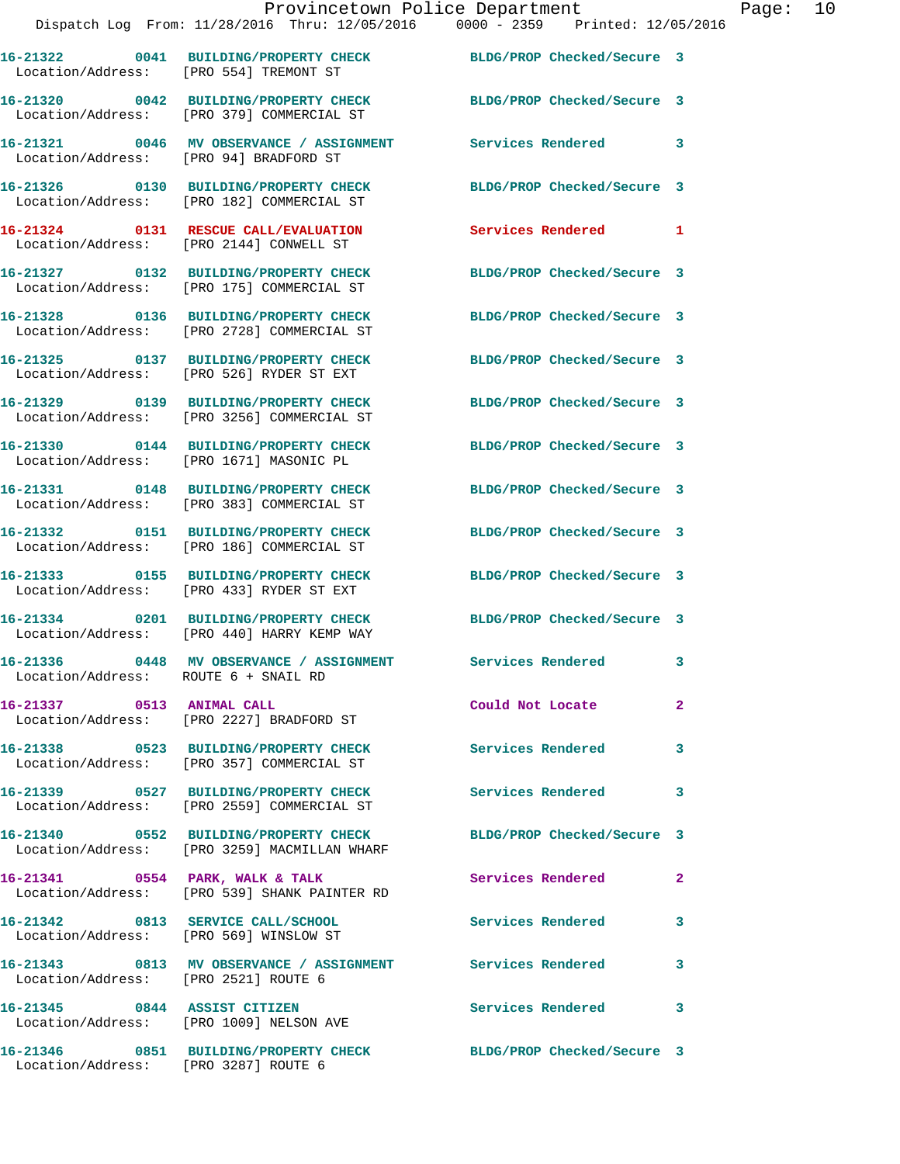|                                        | Dispatch Log From: 11/28/2016 Thru: 12/05/2016 0000 - 2359 Printed: 12/05/2016                                   | Provincetown Police Department |              | Page: 10 |  |
|----------------------------------------|------------------------------------------------------------------------------------------------------------------|--------------------------------|--------------|----------|--|
| Location/Address: [PRO 554] TREMONT ST | 16-21322 0041 BUILDING/PROPERTY CHECK BLDG/PROP Checked/Secure 3                                                 |                                |              |          |  |
|                                        | 16-21320 0042 BUILDING/PROPERTY CHECK BLDG/PROP Checked/Secure 3<br>Location/Address: [PRO 379] COMMERCIAL ST    |                                |              |          |  |
| Location/Address: [PRO 94] BRADFORD ST | 16-21321 0046 MV OBSERVANCE / ASSIGNMENT Services Rendered 3                                                     |                                |              |          |  |
|                                        | 16-21326 0130 BUILDING/PROPERTY CHECK BLDG/PROP Checked/Secure 3<br>Location/Address: [PRO 182] COMMERCIAL ST    |                                |              |          |  |
|                                        | 16-21324 0131 RESCUE CALL/EVALUATION Services Rendered 1<br>Location/Address: [PRO 2144] CONWELL ST              |                                |              |          |  |
|                                        | 16-21327 0132 BUILDING/PROPERTY CHECK BLDG/PROP Checked/Secure 3<br>Location/Address: [PRO 175] COMMERCIAL ST    |                                |              |          |  |
|                                        | 16-21328 0136 BUILDING/PROPERTY CHECK BLDG/PROP Checked/Secure 3<br>Location/Address: [PRO 2728] COMMERCIAL ST   |                                |              |          |  |
|                                        | 16-21325 0137 BUILDING/PROPERTY CHECK BLDG/PROP Checked/Secure 3<br>Location/Address: [PRO 526] RYDER ST EXT     |                                |              |          |  |
|                                        | 16-21329 0139 BUILDING/PROPERTY CHECK BLDG/PROP Checked/Secure 3<br>Location/Address: [PRO 3256] COMMERCIAL ST   |                                |              |          |  |
|                                        | 16-21330 0144 BUILDING/PROPERTY CHECK BLDG/PROP Checked/Secure 3<br>Location/Address: [PRO 1671] MASONIC PL      |                                |              |          |  |
|                                        | 16-21331 0148 BUILDING/PROPERTY CHECK BLDG/PROP Checked/Secure 3<br>Location/Address: [PRO 383] COMMERCIAL ST    |                                |              |          |  |
|                                        | 16-21332 0151 BUILDING/PROPERTY CHECK BLDG/PROP Checked/Secure 3<br>Location/Address: [PRO 186] COMMERCIAL ST    |                                |              |          |  |
|                                        | 16-21333 0155 BUILDING/PROPERTY CHECK BLDG/PROP Checked/Secure 3<br>Location/Address: [PRO 433] RYDER ST EXT     |                                |              |          |  |
|                                        | 16-21334 0201 BUILDING/PROPERTY CHECK BLDG/PROP Checked/Secure 3<br>Location/Address: [PRO 440] HARRY KEMP WAY   |                                |              |          |  |
| Location/Address: ROUTE 6 + SNAIL RD   | 16-21336 0448 MV OBSERVANCE / ASSIGNMENT                                                                         | Services Rendered              |              |          |  |
| 16-21337 0513 ANIMAL CALL              | Location/Address: [PRO 2227] BRADFORD ST                                                                         | Could Not Locate 2             |              |          |  |
|                                        | 16-21338 0523 BUILDING/PROPERTY CHECK Services Rendered 3<br>Location/Address: [PRO 357] COMMERCIAL ST           |                                |              |          |  |
|                                        | 16-21339 0527 BUILDING/PROPERTY CHECK Services Rendered 3<br>Location/Address: [PRO 2559] COMMERCIAL ST          |                                |              |          |  |
|                                        | 16-21340 0552 BUILDING/PROPERTY CHECK BLDG/PROP Checked/Secure 3<br>Location/Address: [PRO 3259] MACMILLAN WHARF |                                |              |          |  |
|                                        | 16-21341 0554 PARK, WALK & TALK<br>Location/Address: [PRO 539] SHANK PAINTER RD                                  | Services Rendered              | $\mathbf{2}$ |          |  |
|                                        | 16-21342 0813 SERVICE CALL/SCHOOL<br>Location/Address: [PRO 569] WINSLOW ST                                      | Services Rendered 3            |              |          |  |
| Location/Address: [PRO 2521] ROUTE 6   | 16-21343 0813 MV OBSERVANCE / ASSIGNMENT Services Rendered                                                       |                                | 3            |          |  |
|                                        | 16-21345 0844 ASSIST CITIZEN<br>Location/Address: [PRO 1009] NELSON AVE                                          | Services Rendered 3            |              |          |  |
|                                        |                                                                                                                  |                                |              |          |  |

**16-21346 0851 BUILDING/PROPERTY CHECK BLDG/PROP Checked/Secure 3** 

Location/Address: [PRO 3287] ROUTE 6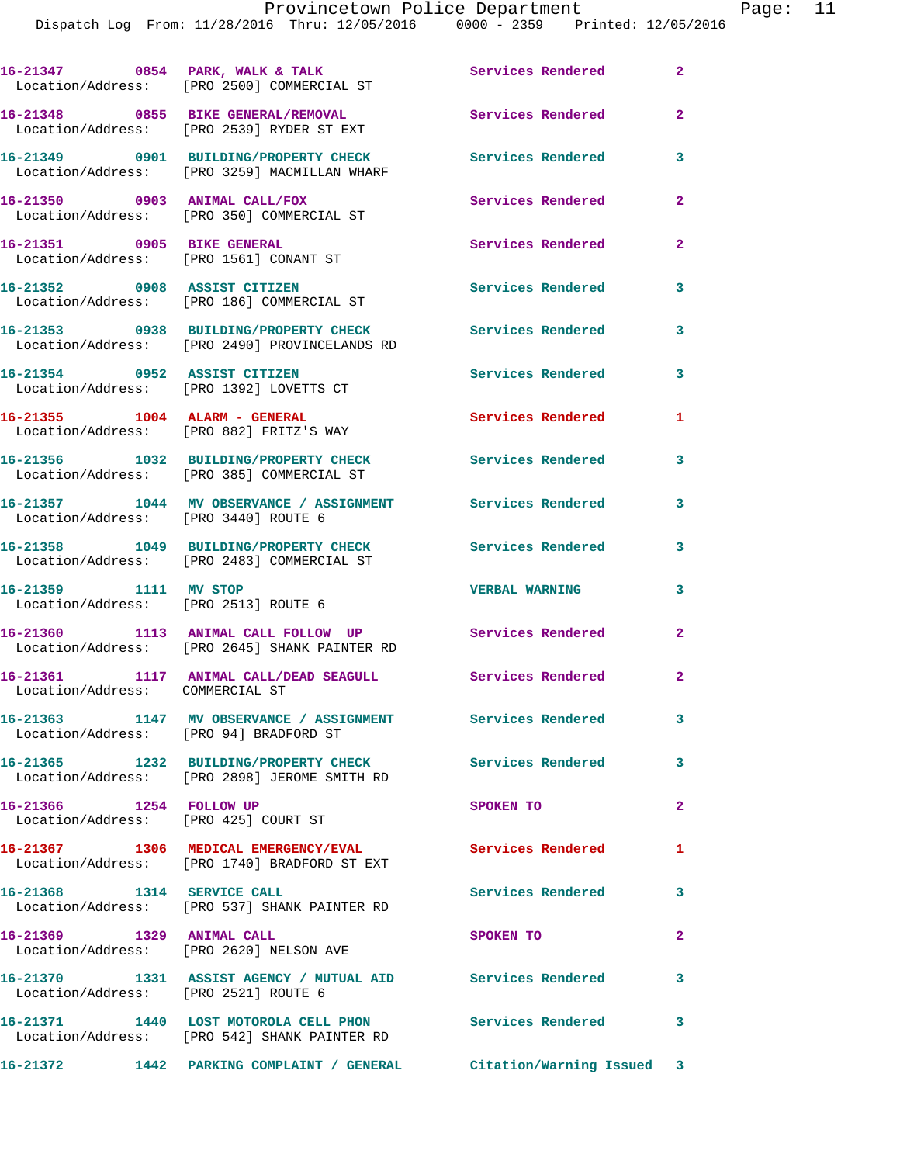|                                                               | 16-21347 0854 PARK, WALK & TALK<br>Location/Address: [PRO 2500] COMMERCIAL ST                           | Services Rendered                    | $\mathbf{2}$            |
|---------------------------------------------------------------|---------------------------------------------------------------------------------------------------------|--------------------------------------|-------------------------|
|                                                               | 16-21348 0855 BIKE GENERAL/REMOVAL<br>Location/Address: [PRO 2539] RYDER ST EXT                         | <b>Services Rendered</b>             | $\overline{2}$          |
|                                                               | 16-21349 0901 BUILDING/PROPERTY CHECK<br>Location/Address: [PRO 3259] MACMILLAN WHARF                   | Services Rendered                    | 3                       |
|                                                               | 16-21350 0903 ANIMAL CALL/FOX<br>Location/Address: [PRO 350] COMMERCIAL ST                              | <b>Services Rendered</b>             | $\mathbf{2}$            |
| 16-21351 0905 BIKE GENERAL                                    | Location/Address: [PRO 1561] CONANT ST                                                                  | <b>Services Rendered</b>             | $\mathbf{2}$            |
|                                                               | 16-21352 0908 ASSIST CITIZEN<br>Location/Address: [PRO 186] COMMERCIAL ST                               | <b>Services Rendered</b>             | 3                       |
|                                                               | 16-21353 0938 BUILDING/PROPERTY CHECK<br>Location/Address: [PRO 2490] PROVINCELANDS RD                  | <b>Services Rendered</b>             | 3                       |
| 16-21354 0952 ASSIST CITIZEN                                  | Location/Address: [PRO 1392] LOVETTS CT                                                                 | Services Rendered                    | 3                       |
|                                                               | 16-21355 1004 ALARM - GENERAL<br>Location/Address: [PRO 882] FRITZ'S WAY                                | Services Rendered                    | 1                       |
|                                                               | 16-21356 1032 BUILDING/PROPERTY CHECK<br>Location/Address: [PRO 385] COMMERCIAL ST                      | Services Rendered                    | $\overline{\mathbf{3}}$ |
| Location/Address: [PRO 3440] ROUTE 6                          | 16-21357 1044 MV OBSERVANCE / ASSIGNMENT Services Rendered                                              |                                      | 3                       |
|                                                               | 16-21358 1049 BUILDING/PROPERTY CHECK Services Rendered 3<br>Location/Address: [PRO 2483] COMMERCIAL ST |                                      |                         |
| 16-21359 1111 MV STOP<br>Location/Address: [PRO 2513] ROUTE 6 |                                                                                                         | <b>VERBAL WARNING</b>                | 3                       |
|                                                               | 16-21360 1113 ANIMAL CALL FOLLOW UP Services Rendered<br>Location/Address: [PRO 2645] SHANK PAINTER RD  |                                      | $\mathbf{2}$            |
| Location/Address: COMMERCIAL ST                               | 16-21361 1117 ANIMAL CALL/DEAD SEAGULL Services Rendered                                                |                                      | $\mathbf{2}$            |
| Location/Address: [PRO 94] BRADFORD ST                        | 16-21363 1147 MV OBSERVANCE / ASSIGNMENT Services Rendered                                              |                                      | 3                       |
|                                                               | 16-21365 1232 BUILDING/PROPERTY CHECK<br>Location/Address: [PRO 2898] JEROME SMITH RD                   | <b>Services Rendered</b>             | $\overline{\mathbf{3}}$ |
| 16-21366 1254 FOLLOW UP                                       | Location/Address: [PRO 425] COURT ST                                                                    | SPOKEN TO                            | $\mathbf{2}$            |
|                                                               | 16-21367 1306 MEDICAL EMERGENCY/EVAL Services Rendered<br>Location/Address: [PRO 1740] BRADFORD ST EXT  |                                      | 1                       |
| 16-21368 1314 SERVICE CALL                                    | Location/Address: [PRO 537] SHANK PAINTER RD                                                            | <b>Services Rendered</b><br>$\sim$ 3 |                         |
| 16-21369 1329 ANIMAL CALL                                     | Location/Address: [PRO 2620] NELSON AVE                                                                 | SPOKEN TO                            | $\overline{2}$          |
| Location/Address: [PRO 2521] ROUTE 6                          | 16-21370 1331 ASSIST AGENCY / MUTUAL AID Services Rendered 3                                            |                                      |                         |
|                                                               | 16-21371 1440 LOST MOTOROLA CELL PHON Services Rendered<br>Location/Address: [PRO 542] SHANK PAINTER RD |                                      | $\mathbf{3}$            |
|                                                               | 16-21372 1442 PARKING COMPLAINT / GENERAL Citation/Warning Issued 3                                     |                                      |                         |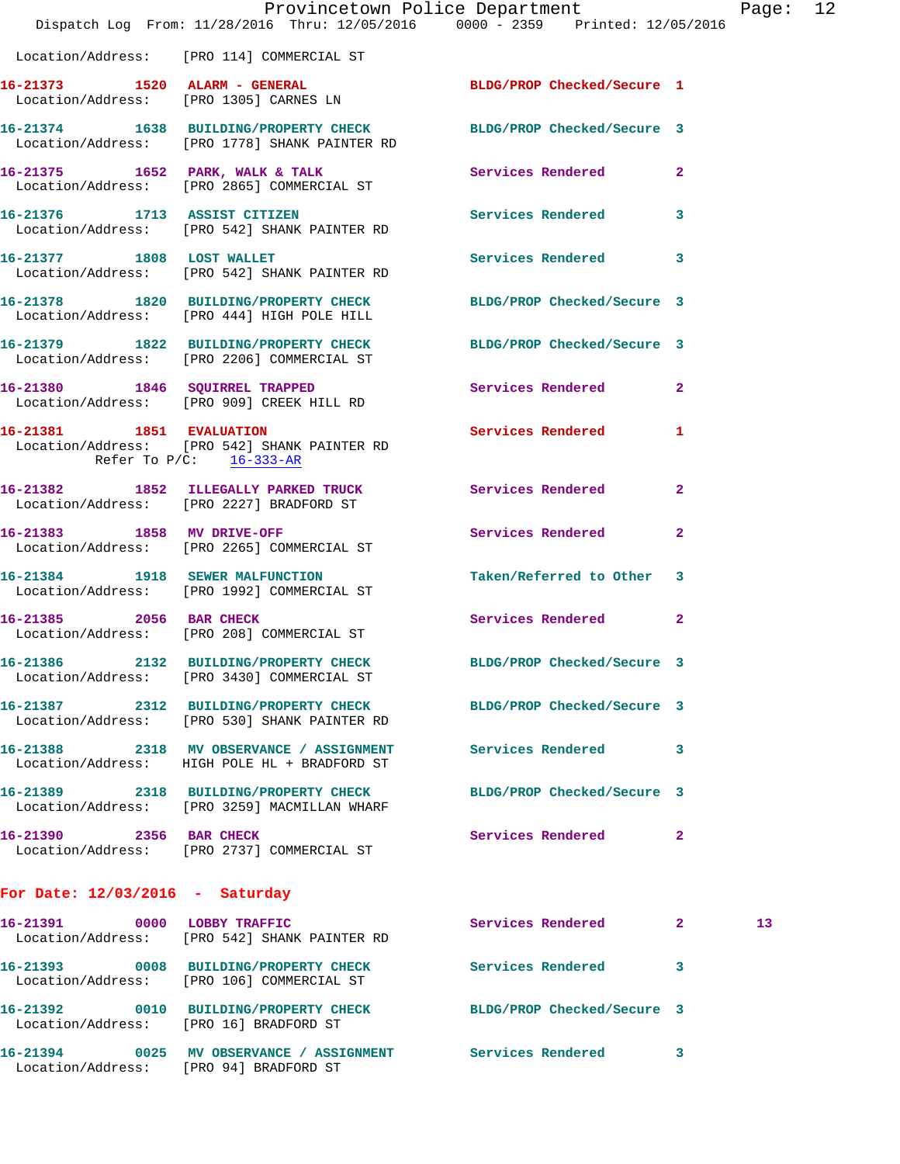|                                                        | Dispatch Log From: 11/28/2016 Thru: 12/05/2016 0000 - 2359 Printed: 12/05/2016                                    | Provincetown Police Department Page: 12 |                |                 |  |
|--------------------------------------------------------|-------------------------------------------------------------------------------------------------------------------|-----------------------------------------|----------------|-----------------|--|
|                                                        | Location/Address: [PRO 114] COMMERCIAL ST                                                                         |                                         |                |                 |  |
|                                                        | 16-21373 1520 ALARM - GENERAL<br>Location/Address: [PRO 1305] CARNES LN                                           | BLDG/PROP Checked/Secure 1              |                |                 |  |
|                                                        | 16-21374 1638 BUILDING/PROPERTY CHECK BLDG/PROP Checked/Secure 3<br>Location/Address: [PRO 1778] SHANK PAINTER RD |                                         |                |                 |  |
|                                                        | 16-21375 1652 PARK, WALK & TALK Services Rendered 2<br>Location/Address: [PRO 2865] COMMERCIAL ST                 |                                         |                |                 |  |
|                                                        | 16-21376 1713 ASSIST CITIZEN<br>Location/Address: [PRO 542] SHANK PAINTER RD                                      | Services Rendered                       | 3              |                 |  |
|                                                        | 16-21377 1808 LOST WALLET Services Rendered 3<br>Location/Address: [PRO 542] SHANK PAINTER RD                     |                                         |                |                 |  |
|                                                        | 16-21378 1820 BUILDING/PROPERTY CHECK<br>Location/Address: [PRO 444] HIGH POLE HILL                               | BLDG/PROP Checked/Secure 3              |                |                 |  |
|                                                        | 16-21379 1822 BUILDING/PROPERTY CHECK BLDG/PROP Checked/Secure 3<br>Location/Address: [PRO 2206] COMMERCIAL ST    |                                         |                |                 |  |
|                                                        | 16-21380 1846 SQUIRREL TRAPPED Services Rendered<br>Location/Address: [PRO 909] CREEK HILL RD                     |                                         | $\mathbf{2}$   |                 |  |
| 16-21381 1851 EVALUATION<br>Refer To $P/C$ : 16-333-AR | Location/Address: [PRO 542] SHANK PAINTER RD                                                                      | Services Rendered 1                     |                |                 |  |
|                                                        | 16-21382 1852 ILLEGALLY PARKED TRUCK Services Rendered<br>Location/Address: [PRO 2227] BRADFORD ST                |                                         | $\overline{2}$ |                 |  |
|                                                        | 16-21383 1858 MV DRIVE-OFF<br>Location/Address: [PRO 2265] COMMERCIAL ST                                          | <b>Services Rendered</b>                | $\mathbf{2}$   |                 |  |
|                                                        | 16-21384 1918 SEWER MALFUNCTION Taken/Referred to Other 3<br>Location/Address: [PRO 1992] COMMERCIAL ST           |                                         |                |                 |  |
| 16-21385 2056 BAR CHECK                                | Location/Address: [PRO 208] COMMERCIAL ST                                                                         | Services Rendered                       | $\mathbf{2}$   |                 |  |
|                                                        | 16-21386 2132 BUILDING/PROPERTY CHECK<br>Location/Address: [PRO 3430] COMMERCIAL ST                               | BLDG/PROP Checked/Secure 3              |                |                 |  |
|                                                        | 16-21387 2312 BUILDING/PROPERTY CHECK BLDG/PROP Checked/Secure 3<br>Location/Address: [PRO 530] SHANK PAINTER RD  |                                         |                |                 |  |
|                                                        | 16-21388 2318 MV OBSERVANCE / ASSIGNMENT Services Rendered<br>Location/Address: HIGH POLE HL + BRADFORD ST        |                                         | 3.             |                 |  |
|                                                        | 16-21389 2318 BUILDING/PROPERTY CHECK BLDG/PROP Checked/Secure 3<br>Location/Address: [PRO 3259] MACMILLAN WHARF  |                                         |                |                 |  |
| 16-21390 2356 BAR CHECK                                | Location/Address: [PRO 2737] COMMERCIAL ST                                                                        | <b>Services Rendered</b>                | 2              |                 |  |
| For Date: $12/03/2016$ - Saturday                      |                                                                                                                   |                                         |                |                 |  |
|                                                        | 16-21391 0000 LOBBY TRAFFIC<br>Location/Address: [PRO 542] SHANK PAINTER RD                                       | Services Rendered 2                     |                | 13 <sup>°</sup> |  |
|                                                        | 16-21393 0008 BUILDING/PROPERTY CHECK Services Rendered<br>Location/Address: [PRO 106] COMMERCIAL ST              |                                         | 3              |                 |  |
| Location/Address: [PRO 16] BRADFORD ST                 | 16-21392 0010 BUILDING/PROPERTY CHECK BLDG/PROP Checked/Secure 3                                                  |                                         |                |                 |  |
|                                                        | 16-21394 0025 MV OBSERVANCE / ASSIGNMENT Services Rendered<br>Location/Address: [PRO 94] BRADFORD ST              |                                         | 3              |                 |  |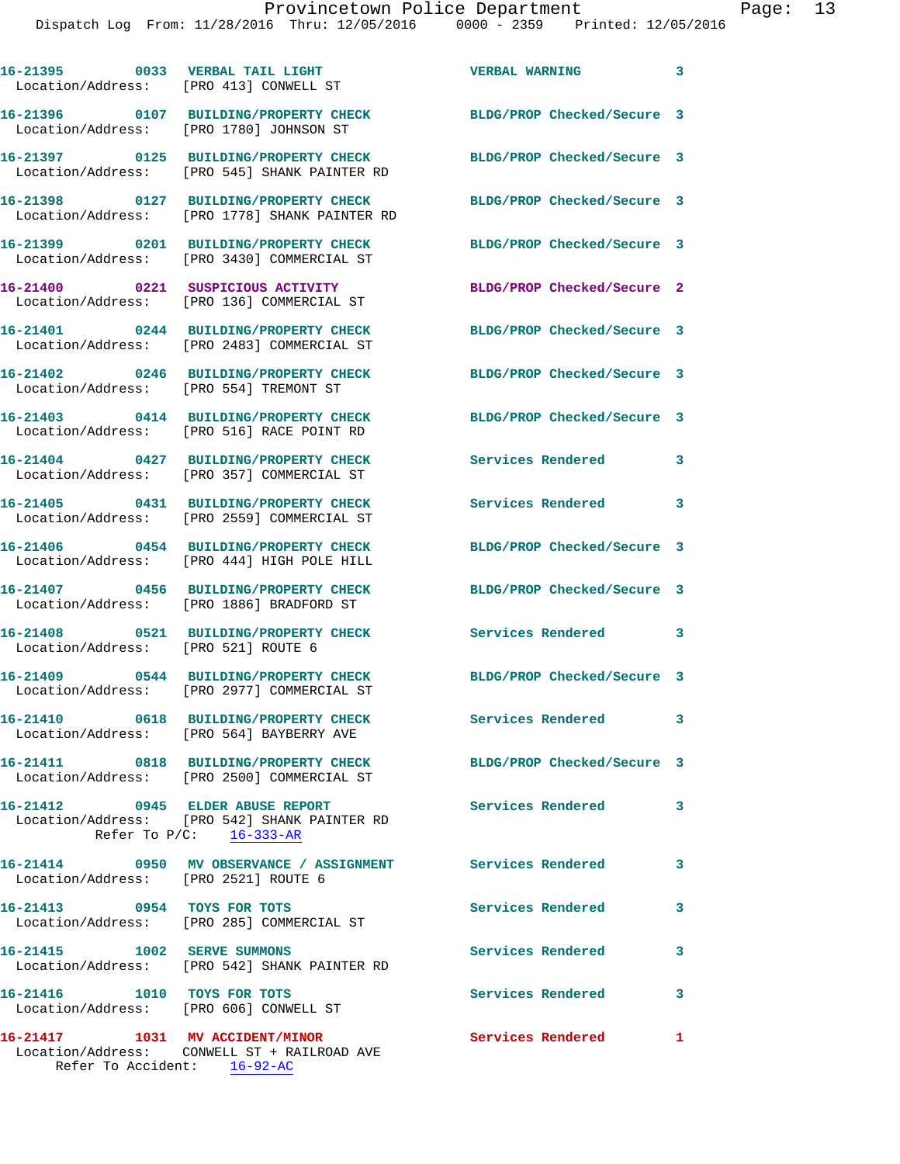| 16-21395 0033 VERBAL TAIL LIGHT<br>Location/Address: [PRO 413] CONWELL ST   |                                                                                                                | <b>VERBAL WARNING</b>      | $\overline{\mathbf{3}}$ |
|-----------------------------------------------------------------------------|----------------------------------------------------------------------------------------------------------------|----------------------------|-------------------------|
|                                                                             | Location/Address: [PRO 1780] JOHNSON ST                                                                        | BLDG/PROP Checked/Secure 3 |                         |
| Location/Address:                                                           | 16-21397 0125 BUILDING/PROPERTY CHECK<br>[PRO 545] SHANK PAINTER RD                                            | BLDG/PROP Checked/Secure 3 |                         |
|                                                                             | Location/Address: [PRO 1778] SHANK PAINTER RD                                                                  | BLDG/PROP Checked/Secure 3 |                         |
| Location/Address:                                                           | 16-21399 0201 BUILDING/PROPERTY CHECK<br>[PRO 3430] COMMERCIAL ST                                              | BLDG/PROP Checked/Secure 3 |                         |
|                                                                             | 16-21400 0221 SUSPICIOUS ACTIVITY<br>Location/Address: [PRO 136] COMMERCIAL ST                                 | BLDG/PROP Checked/Secure 2 |                         |
|                                                                             | 16-21401 0244 BUILDING/PROPERTY CHECK<br>Location/Address: [PRO 2483] COMMERCIAL ST                            | BLDG/PROP Checked/Secure 3 |                         |
| Location/Address: [PRO 554] TREMONT ST                                      | 16-21402 0246 BUILDING/PROPERTY CHECK                                                                          | BLDG/PROP Checked/Secure 3 |                         |
|                                                                             | 16-21403 0414 BUILDING/PROPERTY CHECK<br>Location/Address: [PRO 516] RACE POINT RD                             | BLDG/PROP Checked/Secure 3 |                         |
|                                                                             | 16-21404 0427 BUILDING/PROPERTY CHECK<br>Location/Address: [PRO 357] COMMERCIAL ST                             | Services Rendered          | 3                       |
|                                                                             | 16-21405 0431 BUILDING/PROPERTY CHECK<br>Location/Address: [PRO 2559] COMMERCIAL ST                            | Services Rendered          | 3                       |
| Location/Address:                                                           | 16-21406 0454 BUILDING/PROPERTY CHECK<br>[PRO 444] HIGH POLE HILL                                              | BLDG/PROP Checked/Secure 3 |                         |
| Location/Address:                                                           | 16-21407 0456 BUILDING/PROPERTY CHECK<br>[PRO 1886] BRADFORD ST                                                | BLDG/PROP Checked/Secure 3 |                         |
| Location/Address: [PRO 521] ROUTE 6                                         | 16-21408 0521 BUILDING/PROPERTY CHECK                                                                          | <b>Services Rendered</b>   | 3                       |
|                                                                             | 16-21409 0544 BUILDING/PROPERTY CHECK<br>Location/Address: [PRO 2977] COMMERCIAL ST                            | BLDG/PROP Checked/Secure 3 |                         |
|                                                                             | Location/Address: [PRO 564] BAYBERRY AVE                                                                       | <b>Services Rendered</b>   |                         |
|                                                                             | 16-21411 0818 BUILDING/PROPERTY CHECK BLDG/PROP Checked/Secure 3<br>Location/Address: [PRO 2500] COMMERCIAL ST |                            |                         |
| 16-21412 0945 ELDER ABUSE REPORT                                            | Location/Address: [PRO 542] SHANK PAINTER RD<br>Refer To $P/C$ : 16-333-AR                                     | Services Rendered 3        |                         |
| Location/Address: [PRO 2521] ROUTE 6                                        | 16-21414      0950   MV OBSERVANCE / ASSIGNMENT       Services Rendered                                        |                            | 3                       |
| 16-21413 0954 TOYS FOR TOTS                                                 | Location/Address: [PRO 285] COMMERCIAL ST                                                                      | Services Rendered          | 3                       |
| 16-21415    1002 SERVE SUMMONS                                              | Location/Address: [PRO 542] SHANK PAINTER RD                                                                   | Services Rendered          | 3                       |
| 16-21416    1010    TOYS FOR TOTS<br>Location/Address: [PRO 606] CONWELL ST |                                                                                                                | Services Rendered          | 3                       |
|                                                                             | 16-21417 1031 MV ACCIDENT/MINOR<br>Location/Address: CONWELL ST + RAILROAD AVE                                 | Services Rendered 1        |                         |

Refer To Accident: 16-92-AC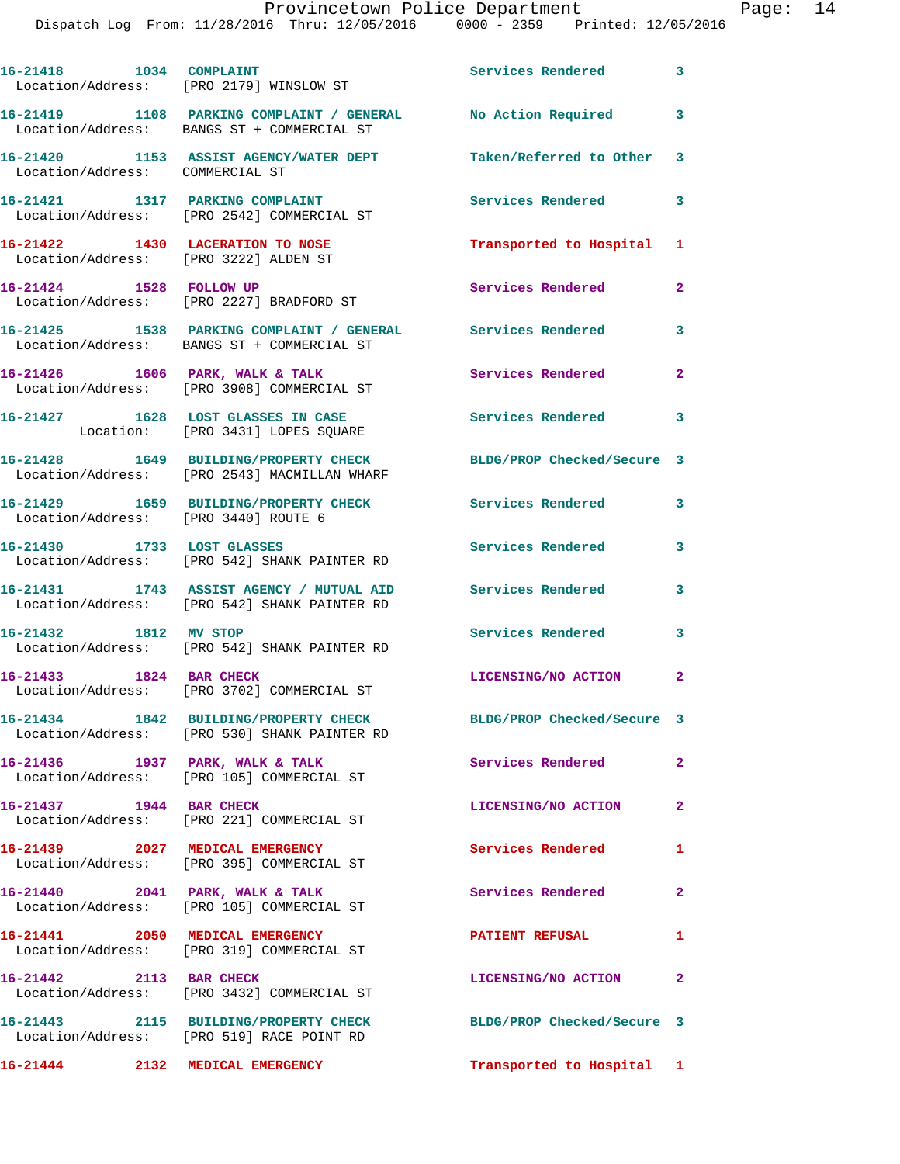Dispatch Log From: 11/28/2016 Thru: 12/05/2016 0000 - 2359 Printed: 12/05/2016

| 16-21418    1034    COMPLAINT        | Location/Address: [PRO 2179] WINSLOW ST                                                                      | Services Rendered 3        |                            |
|--------------------------------------|--------------------------------------------------------------------------------------------------------------|----------------------------|----------------------------|
|                                      | 16-21419 1108 PARKING COMPLAINT / GENERAL No Action Required 3<br>Location/Address: BANGS ST + COMMERCIAL ST |                            |                            |
|                                      | 16-21420 1153 ASSIST AGENCY/WATER DEPT<br>Location/Address: COMMERCIAL ST                                    | Taken/Referred to Other 3  |                            |
| 16-21421 1317 PARKING COMPLAINT      | Location/Address: [PRO 2542] COMMERCIAL ST                                                                   | Services Rendered          | $\overline{\phantom{a}}$ 3 |
| 16-21422 1430 LACERATION TO NOSE     | Location/Address: [PRO 3222] ALDEN ST                                                                        | Transported to Hospital 1  |                            |
|                                      | 16-21424 1528 FOLLOW UP<br>Location/Address: [PRO 2227] BRADFORD ST                                          | Services Rendered          | $\mathbf{2}$               |
|                                      | 16-21425 1538 PARKING COMPLAINT / GENERAL Services Rendered 3<br>Location/Address: BANGS ST + COMMERCIAL ST  |                            |                            |
|                                      | 16-21426 1606 PARK, WALK & TALK<br>Location/Address: [PRO 3908] COMMERCIAL ST                                | Services Rendered 2        |                            |
|                                      | 16-21427 1628 LOST GLASSES IN CASE<br>Location: [PRO 3431] LOPES SQUARE                                      | <b>Services Rendered</b> 3 |                            |
|                                      | 16-21428 1649 BUILDING/PROPERTY CHECK<br>Location/Address: [PRO 2543] MACMILLAN WHARF                        | BLDG/PROP Checked/Secure 3 |                            |
| Location/Address: [PRO 3440] ROUTE 6 | 16-21429 1659 BUILDING/PROPERTY CHECK                                                                        | Services Rendered 3        |                            |
|                                      | 16-21430 1733 LOST GLASSES<br>Location/Address: [PRO 542] SHANK PAINTER RD                                   | Services Rendered          | $\overline{\mathbf{3}}$    |
|                                      | 16-21431 1743 ASSIST AGENCY / MUTUAL AID<br>Location/Address: [PRO 542] SHANK PAINTER RD                     | Services Rendered          | 3                          |
| 16-21432 1812 MV STOP                | Location/Address: [PRO 542] SHANK PAINTER RD                                                                 | Services Rendered          | 3                          |
| 16-21433 1824 BAR CHECK              | Location/Address: [PRO 3702] COMMERCIAL ST                                                                   | LICENSING/NO ACTION 2      |                            |
|                                      | 16-21434 1842 BUILDING/PROPERTY CHECK<br>Location/Address: [PRO 530] SHANK PAINTER RD                        | BLDG/PROP Checked/Secure 3 |                            |
|                                      | 16-21436 1937 PARK, WALK & TALK<br>Location/Address: [PRO 105] COMMERCIAL ST                                 | Services Rendered          | $\mathbf{2}$               |
| 16-21437 1944 BAR CHECK              | Location/Address: [PRO 221] COMMERCIAL ST                                                                    | LICENSING/NO ACTION        | $\mathbf{2}$               |
|                                      | 16-21439 2027 MEDICAL EMERGENCY<br>Location/Address: [PRO 395] COMMERCIAL ST                                 | Services Rendered          | 1.                         |
|                                      | 16-21440 2041 PARK, WALK & TALK<br>Location/Address: [PRO 105] COMMERCIAL ST                                 | Services Rendered          | $\mathbf{2}$               |
|                                      | 16-21441 2050 MEDICAL EMERGENCY<br>Location/Address: [PRO 319] COMMERCIAL ST                                 | PATIENT REFUSAL            | $\mathbf{1}$               |
| 16-21442 2113 BAR CHECK              | Location/Address: [PRO 3432] COMMERCIAL ST                                                                   | LICENSING/NO ACTION 2      |                            |
|                                      | 16-21443 2115 BUILDING/PROPERTY CHECK<br>Location/Address: [PRO 519] RACE POINT RD                           | BLDG/PROP Checked/Secure 3 |                            |
| 16-21444 2132 MEDICAL EMERGENCY      |                                                                                                              | Transported to Hospital 1  |                            |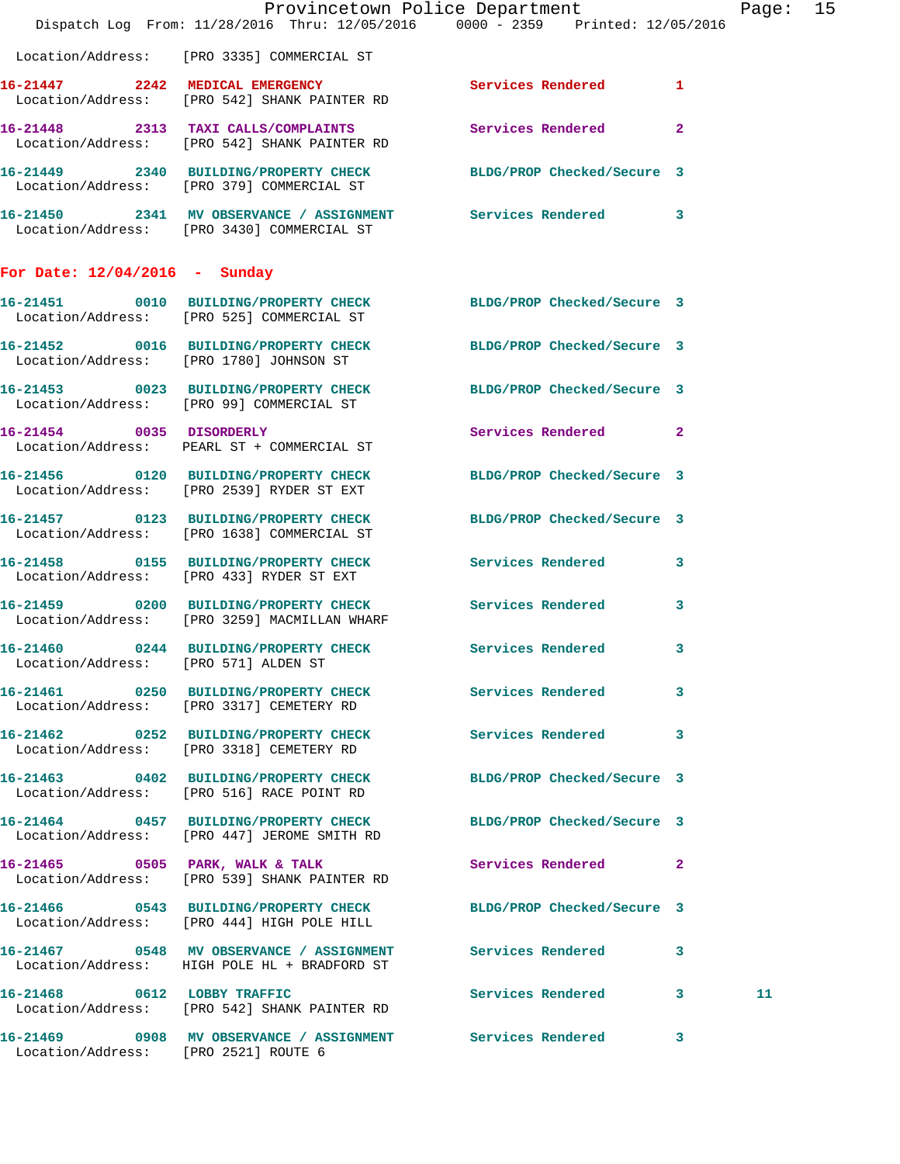|                                      | Dispatch Log From: 11/28/2016 Thru: 12/05/2016 0000 - 2359 Printed: 12/05/2016                                  | Provincetown Police Department |                         | Page: 15 |  |
|--------------------------------------|-----------------------------------------------------------------------------------------------------------------|--------------------------------|-------------------------|----------|--|
|                                      | Location/Address: [PRO 3335] COMMERCIAL ST                                                                      |                                |                         |          |  |
|                                      | 16-21447 2242 MEDICAL EMERGENCY<br>Location/Address: [PRO 542] SHANK PAINTER RD                                 | Services Rendered 1            |                         |          |  |
|                                      | 16-21448 2313 TAXI CALLS/COMPLAINTS<br>Location/Address: [PRO 542] SHANK PAINTER RD                             | Services Rendered 2            |                         |          |  |
|                                      | 16-21449 2340 BUILDING/PROPERTY CHECK BLDG/PROP Checked/Secure 3<br>Location/Address: [PRO 379] COMMERCIAL ST   |                                |                         |          |  |
|                                      | 16-21450 2341 MV OBSERVANCE / ASSIGNMENT Services Rendered 3<br>Location/Address: [PRO 3430] COMMERCIAL ST      |                                |                         |          |  |
| For Date: $12/04/2016$ - Sunday      |                                                                                                                 |                                |                         |          |  |
|                                      | 16-21451 0010 BUILDING/PROPERTY CHECK BLDG/PROP Checked/Secure 3<br>Location/Address: [PRO 525] COMMERCIAL ST   |                                |                         |          |  |
|                                      | 16-21452 0016 BUILDING/PROPERTY CHECK BLDG/PROP Checked/Secure 3<br>Location/Address: [PRO 1780] JOHNSON ST     |                                |                         |          |  |
|                                      | 16-21453 0023 BUILDING/PROPERTY CHECK BLDG/PROP Checked/Secure 3<br>Location/Address: [PRO 99] COMMERCIAL ST    |                                |                         |          |  |
| 16-21454 0035 DISORDERLY             | Location/Address: PEARL ST + COMMERCIAL ST                                                                      | Services Rendered 2            |                         |          |  |
|                                      | 16-21456 0120 BUILDING/PROPERTY CHECK BLDG/PROP Checked/Secure 3<br>Location/Address: [PRO 2539] RYDER ST EXT   |                                |                         |          |  |
|                                      | 16-21457 0123 BUILDING/PROPERTY CHECK<br>Location/Address: [PRO 1638] COMMERCIAL ST                             | BLDG/PROP Checked/Secure 3     |                         |          |  |
|                                      | 16-21458 0155 BUILDING/PROPERTY CHECK Services Rendered 3<br>Location/Address: [PRO 433] RYDER ST EXT           |                                |                         |          |  |
|                                      | 16-21459 0200 BUILDING/PROPERTY CHECK Services Rendered<br>Location/Address: [PRO 3259] MACMILLAN WHARF         |                                | $\overline{\mathbf{3}}$ |          |  |
| Location/Address: [PRO 571] ALDEN ST | 16-21460 0244 BUILDING/PROPERTY CHECK Services Rendered 3                                                       |                                |                         |          |  |
|                                      | 16-21461 0250 BUILDING/PROPERTY CHECK Services Rendered 3<br>Location/Address: [PRO 3317] CEMETERY RD           |                                |                         |          |  |
|                                      | 16-21462 0252 BUILDING/PROPERTY CHECK Services Rendered 3<br>Location/Address: [PRO 3318] CEMETERY RD           |                                |                         |          |  |
|                                      | 16-21463 0402 BUILDING/PROPERTY CHECK BLDG/PROP Checked/Secure 3<br>Location/Address: [PRO 516] RACE POINT RD   |                                |                         |          |  |
|                                      | 16-21464 0457 BUILDING/PROPERTY CHECK BLDG/PROP Checked/Secure 3<br>Location/Address: [PRO 447] JEROME SMITH RD |                                |                         |          |  |
|                                      | 16-21465 0505 PARK, WALK & TALK 3 Services Rendered 2<br>Location/Address: [PRO 539] SHANK PAINTER RD           |                                |                         |          |  |
|                                      | 16-21466 0543 BUILDING/PROPERTY CHECK BLDG/PROP Checked/Secure 3<br>Location/Address: [PRO 444] HIGH POLE HILL  |                                |                         |          |  |
|                                      | 16-21467 0548 MV OBSERVANCE / ASSIGNMENT Services Rendered 3<br>Location/Address: HIGH POLE HL + BRADFORD ST    |                                |                         |          |  |
|                                      | 16-21468 0612 LOBBY TRAFFIC<br>Location/Address: [PRO 542] SHANK PAINTER RD                                     | Services Rendered 3            |                         | 11       |  |
| Location/Address: [PRO 2521] ROUTE 6 | 16-21469 0908 MV OBSERVANCE / ASSIGNMENT Services Rendered 3                                                    |                                |                         |          |  |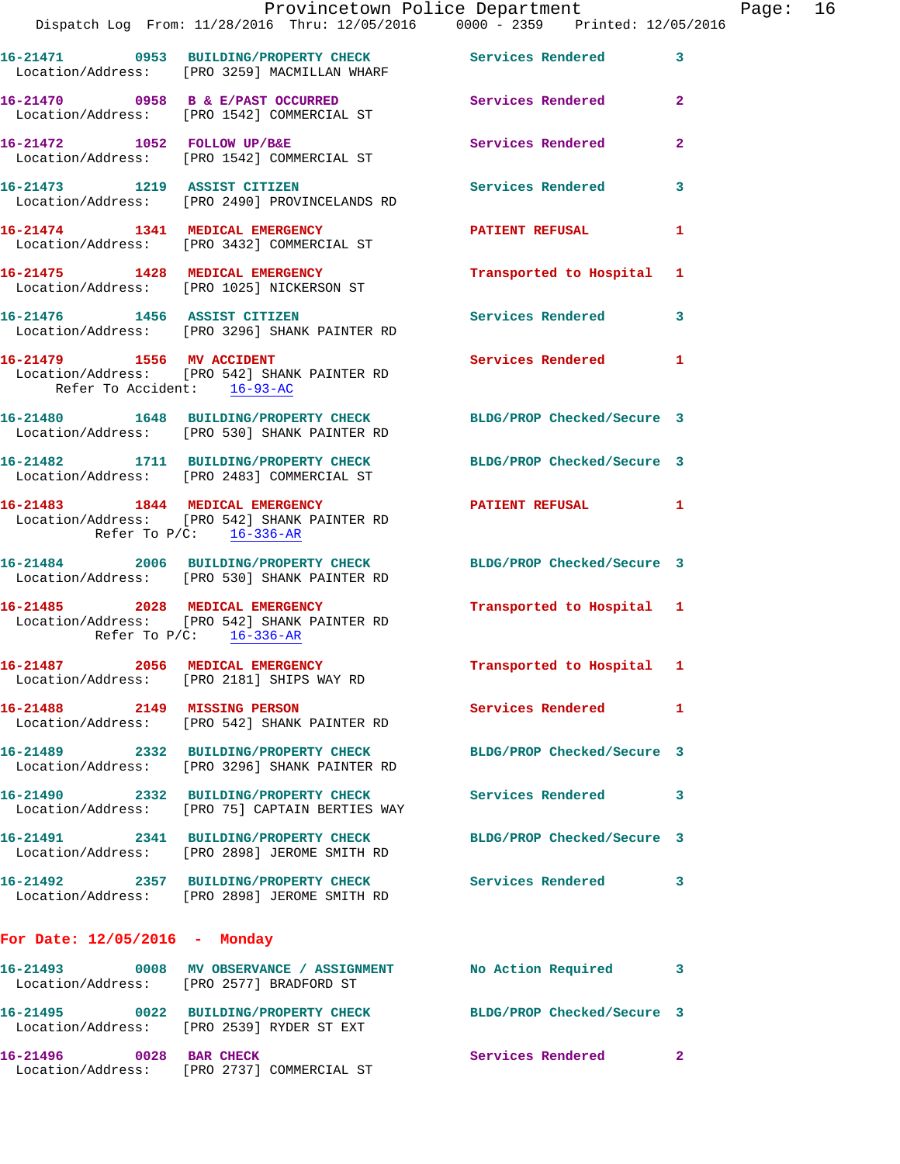|                                 | Provincetown Police Department Page: 16<br>Dispatch Log From: 11/28/2016 Thru: 12/05/2016 0000 - 2359 Printed: 12/05/2016 |                           |              |
|---------------------------------|---------------------------------------------------------------------------------------------------------------------------|---------------------------|--------------|
|                                 | 16-21471 0953 BUILDING/PROPERTY CHECK Services Rendered                                                                   |                           | $\mathbf{3}$ |
|                                 | Location/Address: [PRO 3259] MACMILLAN WHARF                                                                              |                           |              |
|                                 | 16-21470 0958 B & E/PAST OCCURRED Services Rendered<br>Location/Address: [PRO 1542] COMMERCIAL ST                         |                           | $\mathbf{2}$ |
|                                 | 16-21472 1052 FOLLOW UP/B&E<br>Location/Address: [PRO 1542] COMMERCIAL ST                                                 | Services Rendered         | $\mathbf{2}$ |
|                                 | 16-21473              1219    ASSIST CITIZEN<br>Location/Address:     [PRO 2490] PROVINCELANDS RD                         | Services Rendered         | 3            |
|                                 | 16-21474 1341 MEDICAL EMERGENCY<br>Location/Address: [PRO 3432] COMMERCIAL ST                                             | PATIENT REFUSAL 1         |              |
|                                 | 16-21475 1428 MEDICAL EMERGENCY<br>Location/Address: [PRO 1025] NICKERSON ST                                              | Transported to Hospital 1 |              |
|                                 | 16-21476   1456   ASSIST CITIZEN<br>Location/Address: [PRO 3296] SHANK PAINTER RD                                         | Services Rendered 3       |              |
| Refer To Accident: 16-93-AC     | 16-21479 1556 MV ACCIDENT<br>Location/Address: [PRO 542] SHANK PAINTER RD                                                 | <b>Services Rendered</b>  | 1            |
|                                 | 16-21480 1648 BUILDING/PROPERTY CHECK BLDG/PROP Checked/Secure 3<br>Location/Address: [PRO 530] SHANK PAINTER RD          |                           |              |
|                                 | 16-21482   1711   BUILDING/PROPERTY CHECK   BLDG/PROP Checked/Secure 3<br>Location/Address: [PRO 2483] COMMERCIAL ST      |                           |              |
| Refer To $P/C$ : 16-336-AR      | 16-21483 1844 MEDICAL EMERGENCY PATIENT REFUSAL 1<br>Location/Address: [PRO 542] SHANK PAINTER RD                         |                           |              |
|                                 | 16-21484 2006 BUILDING/PROPERTY CHECK BLDG/PROP Checked/Secure 3<br>Location/Address: [PRO 530] SHANK PAINTER RD          |                           |              |
|                                 | 16-21485 2028 MEDICAL EMERGENCY<br>Location/Address: [PRO 542] SHANK PAINTER RD<br>Refer To $P/C$ : 16-336-AR             | Transported to Hospital 1 |              |
|                                 | 16-21487 2056 MEDICAL EMERGENCY<br>Location/Address: [PRO 2181] SHIPS WAY RD                                              | Transported to Hospital 1 |              |
|                                 | 16-21488 2149 MISSING PERSON<br>Location/Address: [PRO 542] SHANK PAINTER RD                                              | Services Rendered 1       |              |
|                                 | 16-21489 2332 BUILDING/PROPERTY CHECK BLDG/PROP Checked/Secure 3<br>Location/Address: [PRO 3296] SHANK PAINTER RD         |                           |              |
|                                 | 16-21490 2332 BUILDING/PROPERTY CHECK Services Rendered 3<br>Location/Address: [PRO 75] CAPTAIN BERTIES WAY               |                           |              |
|                                 | 16-21491 2341 BUILDING/PROPERTY CHECK BLDG/PROP Checked/Secure 3<br>Location/Address: [PRO 2898] JEROME SMITH RD          |                           |              |
|                                 | 16-21492 2357 BUILDING/PROPERTY CHECK Services Rendered<br>Location/Address: [PRO 2898] JEROME SMITH RD                   |                           | 3            |
| For Date: $12/05/2016$ - Monday |                                                                                                                           |                           |              |
|                                 | 16-21493 0008 MV OBSERVANCE / ASSIGNMENT No Action Required<br>Location/Address: [PRO 2577] BRADFORD ST                   |                           | 3            |
|                                 | 16-21495 0022 BUILDING/PROPERTY CHECK BLDG/PROP Checked/Secure 3<br>Location/Address: [PRO 2539] RYDER ST EXT             |                           |              |
|                                 | 16-21496 0028 BAR CHECK<br>Location/Address: [PRO 2737] COMMERCIAL ST                                                     | Services Rendered         | $\mathbf{2}$ |